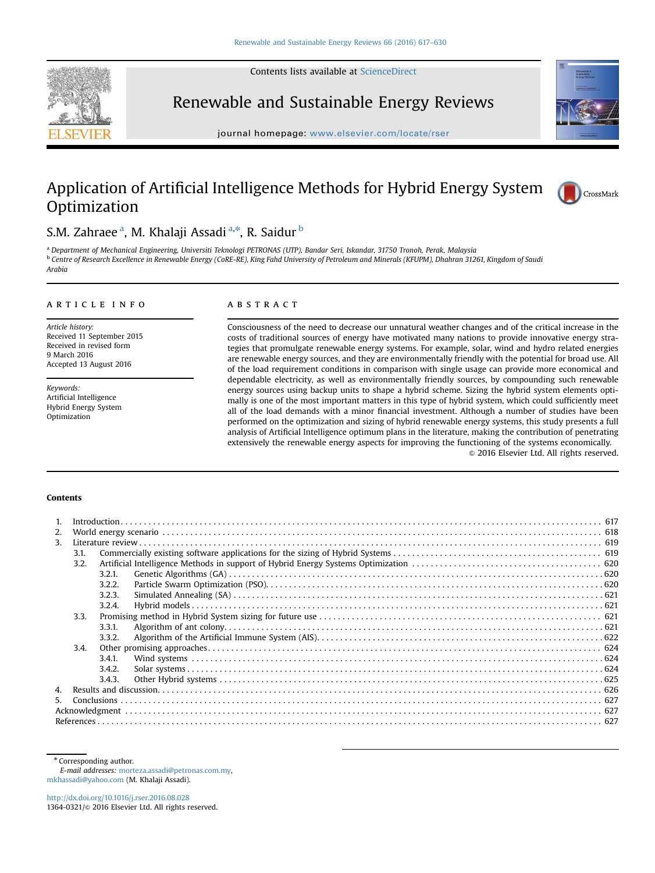Contents lists available at [ScienceDirect](www.sciencedirect.com/science/journal/13640321)



# Renewable and Sustainable Energy Reviews

journal homepage: <www.elsevier.com/locate/rser>

# Application of Artificial Intelligence Methods for Hybrid Energy System Optimization





# S.M. Zahraee <sup>a</sup>, M. Khalaji Assadi <sup>a,\*</sup>, R. Saidur <sup>b</sup>

<sup>a</sup> Department of Mechanical Engineering, Universiti Teknologi PETRONAS (UTP), Bandar Seri, Iskandar, 31750 Tronoh, Perak, Malaysia <sup>b</sup> Centre of Research Excellence in Renewable Energy (CoRE-RE), King Fahd University of Petroleum and Minerals (KFUPM), Dhahran 31261, Kingdom of Saudi Arabia

## article info

Article history: Received 11 September 2015 Received in revised form 9 March 2016 Accepted 13 August 2016

Keywords: Artificial Intelligence Hybrid Energy System Optimization

# **ABSTRACT**

Consciousness of the need to decrease our unnatural weather changes and of the critical increase in the costs of traditional sources of energy have motivated many nations to provide innovative energy strategies that promulgate renewable energy systems. For example, solar, wind and hydro related energies are renewable energy sources, and they are environmentally friendly with the potential for broad use. All of the load requirement conditions in comparison with single usage can provide more economical and dependable electricity, as well as environmentally friendly sources, by compounding such renewable energy sources using backup units to shape a hybrid scheme. Sizing the hybrid system elements optimally is one of the most important matters in this type of hybrid system, which could sufficiently meet all of the load demands with a minor financial investment. Although a number of studies have been performed on the optimization and sizing of hybrid renewable energy systems, this study presents a full analysis of Artificial Intelligence optimum plans in the literature, making the contribution of penetrating extensively the renewable energy aspects for improving the functioning of the systems economically.  $@$  2016 Elsevier Ltd. All rights reserved.

# **Contents**

| $\mathbf{1}$ . |      |        |  |  |
|----------------|------|--------|--|--|
| 2.             |      |        |  |  |
| 3.             |      |        |  |  |
|                |      |        |  |  |
|                | 3.1. |        |  |  |
|                | 3.2. |        |  |  |
|                |      | 3.2.1. |  |  |
|                |      | 3.2.2. |  |  |
|                |      | 3.2.3. |  |  |
|                |      | 3.2.4. |  |  |
|                | 3.3. |        |  |  |
|                |      | 3.3.1. |  |  |
|                |      | 3.3.2. |  |  |
|                | 3.4. |        |  |  |
|                |      | 3.4.1. |  |  |
|                |      | 3.4.2. |  |  |
|                |      | 3.4.3. |  |  |
| 4.             |      |        |  |  |
|                |      |        |  |  |
|                |      |        |  |  |
|                |      |        |  |  |

<http://dx.doi.org/10.1016/j.rser.2016.08.028> 1364-0321/@ 2016 Elsevier Ltd. All rights reserved.

<sup>\*</sup> Corresponding author.

E-mail addresses: [morteza.assadi@petronas.com.my](mailto:morteza.assadi@petronas.com.my), [mkhassadi@yahoo.com](mailto:mkhassadi@yahoo.com) (M. Khalaji Assadi).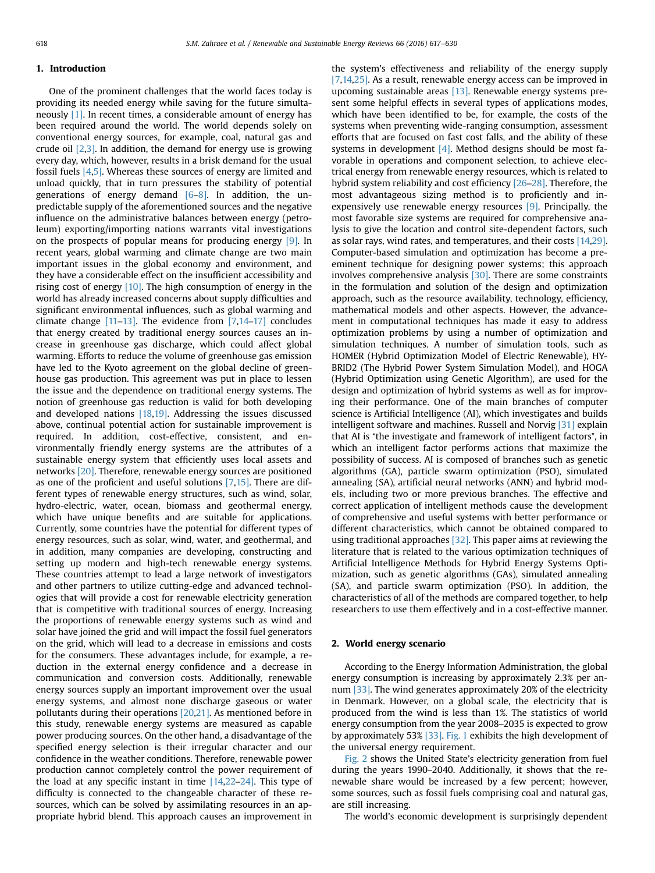#### 1. Introduction

One of the prominent challenges that the world faces today is providing its needed energy while saving for the future simultaneously [\[1\]](#page-10-0). In recent times, a considerable amount of energy has been required around the world. The world depends solely on conventional energy sources, for example, coal, natural gas and crude oil [\[2,3\]](#page-10-0). In addition, the demand for energy use is growing every day, which, however, results in a brisk demand for the usual fossil fuels [\[4](#page-11-0),[5\].](#page-11-0) Whereas these sources of energy are limited and unload quickly, that in turn pressures the stability of potential generations of energy demand [\[6](#page-11-0)–[8\]](#page-11-0). In addition, the unpredictable supply of the aforementioned sources and the negative influence on the administrative balances between energy (petroleum) exporting/importing nations warrants vital investigations on the prospects of popular means for producing energy [\[9\].](#page-11-0) In recent years, global warming and climate change are two main important issues in the global economy and environment, and they have a considerable effect on the insufficient accessibility and rising cost of energy [\[10\].](#page-11-0) The high consumption of energy in the world has already increased concerns about supply difficulties and significant environmental influences, such as global warming and climate change  $[11-13]$  $[11-13]$  $[11-13]$ . The evidence from  $[7,14-17]$  $[7,14-17]$  $[7,14-17]$  concludes that energy created by traditional energy sources causes an increase in greenhouse gas discharge, which could affect global warming. Efforts to reduce the volume of greenhouse gas emission have led to the Kyoto agreement on the global decline of greenhouse gas production. This agreement was put in place to lessen the issue and the dependence on traditional energy systems. The notion of greenhouse gas reduction is valid for both developing and developed nations [\[18,19\]](#page-11-0). Addressing the issues discussed above, continual potential action for sustainable improvement is required. In addition, cost-effective, consistent, and environmentally friendly energy systems are the attributes of a sustainable energy system that efficiently uses local assets and networks [\[20\].](#page-11-0) Therefore, renewable energy sources are positioned as one of the proficient and useful solutions [\[7,15\].](#page-11-0) There are different types of renewable energy structures, such as wind, solar, hydro-electric, water, ocean, biomass and geothermal energy, which have unique benefits and are suitable for applications. Currently, some countries have the potential for different types of energy resources, such as solar, wind, water, and geothermal, and in addition, many companies are developing, constructing and setting up modern and high-tech renewable energy systems. These countries attempt to lead a large network of investigators and other partners to utilize cutting-edge and advanced technologies that will provide a cost for renewable electricity generation that is competitive with traditional sources of energy. Increasing the proportions of renewable energy systems such as wind and solar have joined the grid and will impact the fossil fuel generators on the grid, which will lead to a decrease in emissions and costs for the consumers. These advantages include, for example, a reduction in the external energy confidence and a decrease in communication and conversion costs. Additionally, renewable energy sources supply an important improvement over the usual energy systems, and almost none discharge gaseous or water pollutants during their operations [\[20,21\]](#page-11-0). As mentioned before in this study, renewable energy systems are measured as capable power producing sources. On the other hand, a disadvantage of the specified energy selection is their irregular character and our confidence in the weather conditions. Therefore, renewable power production cannot completely control the power requirement of the load at any specific instant in time [\[14](#page-11-0),[22](#page-11-0)–[24\].](#page-11-0) This type of difficulty is connected to the changeable character of these resources, which can be solved by assimilating resources in an appropriate hybrid blend. This approach causes an improvement in the system's effectiveness and reliability of the energy supply [\[7,14,25\].](#page-11-0) As a result, renewable energy access can be improved in upcoming sustainable areas  $[13]$ . Renewable energy systems present some helpful effects in several types of applications modes, which have been identified to be, for example, the costs of the systems when preventing wide-ranging consumption, assessment efforts that are focused on fast cost falls, and the ability of these systems in development [\[4\].](#page-11-0) Method designs should be most favorable in operations and component selection, to achieve electrical energy from renewable energy resources, which is related to hybrid system reliability and cost efficiency [\[26](#page-11-0)–[28\].](#page-11-0) Therefore, the most advantageous sizing method is to proficiently and inexpensively use renewable energy resources [\[9\]](#page-11-0). Principally, the most favorable size systems are required for comprehensive analysis to give the location and control site-dependent factors, such as solar rays, wind rates, and temperatures, and their costs [\[14,29\].](#page-11-0) Computer-based simulation and optimization has become a preeminent technique for designing power systems; this approach involves comprehensive analysis [\[30\]](#page-11-0). There are some constraints in the formulation and solution of the design and optimization approach, such as the resource availability, technology, efficiency, mathematical models and other aspects. However, the advancement in computational techniques has made it easy to address optimization problems by using a number of optimization and simulation techniques. A number of simulation tools, such as HOMER (Hybrid Optimization Model of Electric Renewable), HY-BRID2 (The Hybrid Power System Simulation Model), and HOGA (Hybrid Optimization using Genetic Algorithm), are used for the design and optimization of hybrid systems as well as for improving their performance. One of the main branches of computer science is Artificial Intelligence (AI), which investigates and builds intelligent software and machines. Russell and Norvig [\[31\]](#page-11-0) explain that AI is "the investigate and framework of intelligent factors", in which an intelligent factor performs actions that maximize the possibility of success. AI is composed of branches such as genetic algorithms (GA), particle swarm optimization (PSO), simulated annealing (SA), artificial neural networks (ANN) and hybrid models, including two or more previous branches. The effective and correct application of intelligent methods cause the development of comprehensive and useful systems with better performance or different characteristics, which cannot be obtained compared to using traditional approaches  $[32]$ . This paper aims at reviewing the literature that is related to the various optimization techniques of Artificial Intelligence Methods for Hybrid Energy Systems Optimization, such as genetic algorithms (GAs), simulated annealing (SA), and particle swarm optimization (PSO). In addition, the characteristics of all of the methods are compared together, to help researchers to use them effectively and in a cost-effective manner.

#### 2. World energy scenario

According to the Energy Information Administration, the global energy consumption is increasing by approximately 2.3% per annum [\[33\].](#page-11-0) The wind generates approximately 20% of the electricity in Denmark. However, on a global scale, the electricity that is produced from the wind is less than 1%. The statistics of world energy consumption from the year 2008–2035 is expected to grow by approximately 53% [\[33\].](#page-11-0) [Fig. 1](#page-2-0) exhibits the high development of the universal energy requirement.

[Fig. 2](#page-2-0) shows the United State's electricity generation from fuel during the years 1990–2040. Additionally, it shows that the renewable share would be increased by a few percent; however, some sources, such as fossil fuels comprising coal and natural gas, are still increasing.

The world's economic development is surprisingly dependent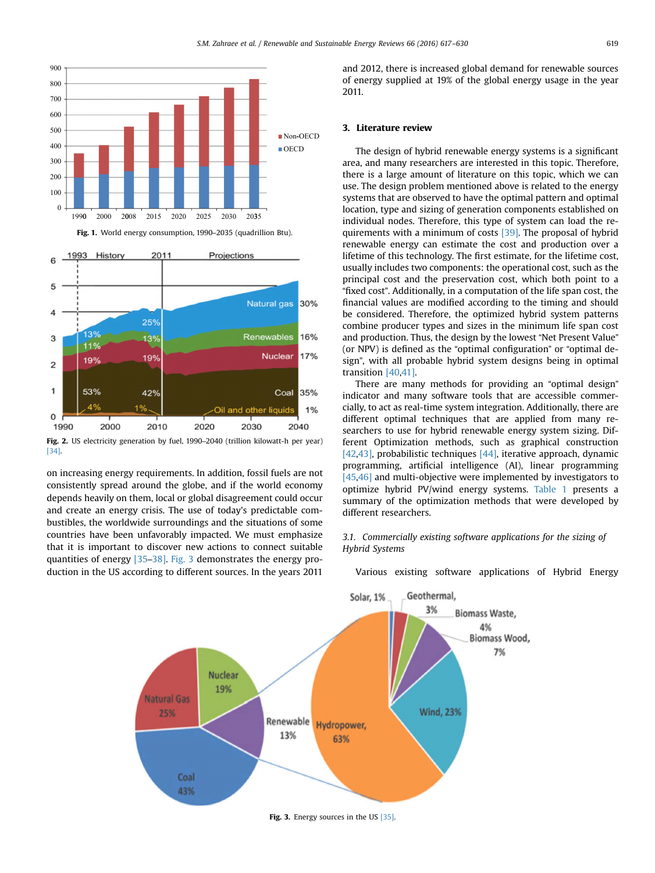<span id="page-2-0"></span>

Fig. 2. US electricity generation by fuel, 1990–2040 (trillion kilowatt-h per year) [\[34\].](#page-11-0)

on increasing energy requirements. In addition, fossil fuels are not consistently spread around the globe, and if the world economy depends heavily on them, local or global disagreement could occur and create an energy crisis. The use of today's predictable combustibles, the worldwide surroundings and the situations of some countries have been unfavorably impacted. We must emphasize that it is important to discover new actions to connect suitable quantities of energy [\[35](#page-11-0)–[38\].](#page-11-0) Fig. 3 demonstrates the energy production in the US according to different sources. In the years 2011 and 2012, there is increased global demand for renewable sources of energy supplied at 19% of the global energy usage in the year 2011.

# 3. Literature review

The design of hybrid renewable energy systems is a significant area, and many researchers are interested in this topic. Therefore, there is a large amount of literature on this topic, which we can use. The design problem mentioned above is related to the energy systems that are observed to have the optimal pattern and optimal location, type and sizing of generation components established on individual nodes. Therefore, this type of system can load the requirements with a minimum of costs [\[39\]](#page-11-0). The proposal of hybrid renewable energy can estimate the cost and production over a lifetime of this technology. The first estimate, for the lifetime cost, usually includes two components: the operational cost, such as the principal cost and the preservation cost, which both point to a "fixed cost". Additionally, in a computation of the life span cost, the financial values are modified according to the timing and should be considered. Therefore, the optimized hybrid system patterns combine producer types and sizes in the minimum life span cost and production. Thus, the design by the lowest "Net Present Value" (or NPV) is defined as the "optimal configuration" or "optimal design", with all probable hybrid system designs being in optimal transition [\[40,41\]](#page-11-0).

There are many methods for providing an "optimal design" indicator and many software tools that are accessible commercially, to act as real-time system integration. Additionally, there are different optimal techniques that are applied from many researchers to use for hybrid renewable energy system sizing. Different Optimization methods, such as graphical construction [\[42,43\]](#page-11-0), probabilistic techniques  $[44]$ , iterative approach, dynamic programming, artificial intelligence (AI), linear programming [\[45,46\]](#page-11-0) and multi-objective were implemented by investigators to optimize hybrid PV/wind energy systems. [Table 1](#page-3-0) presents a summary of the optimization methods that were developed by different researchers.

# 3.1. Commercially existing software applications for the sizing of Hybrid Systems

Various existing software applications of Hybrid Energy



Fig. 3. Energy sources in the US [\[35\]](#page-11-0).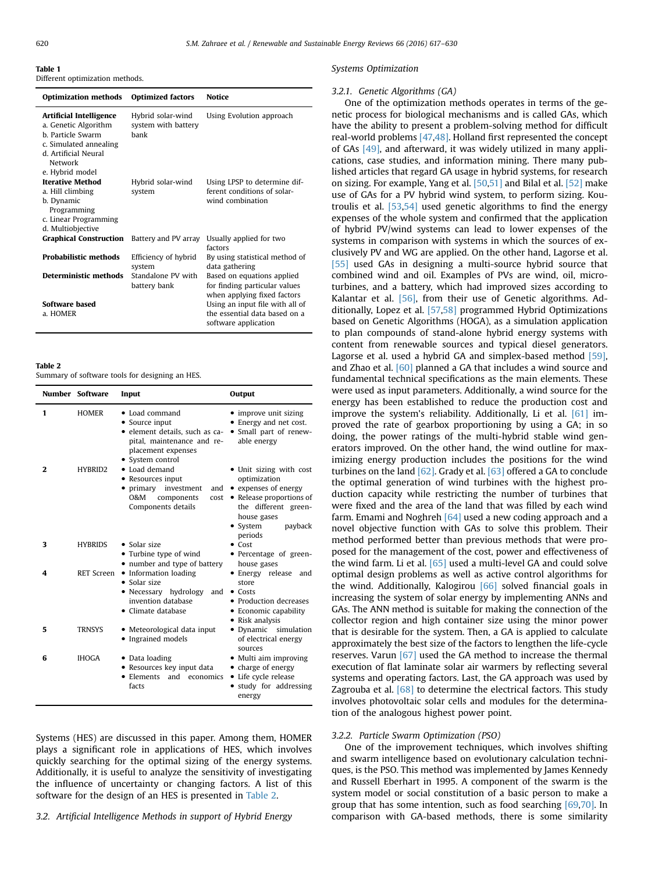# <span id="page-3-0"></span>Table 1

Different optimization methods.

| <b>Optimization methods</b>                                                                                                                         | <b>Optimized factors</b>                         | <b>Notice</b>                                                                              |
|-----------------------------------------------------------------------------------------------------------------------------------------------------|--------------------------------------------------|--------------------------------------------------------------------------------------------|
| Artificial Intelligence<br>a. Genetic Algorithm<br>b. Particle Swarm<br>c. Simulated annealing<br>d Artificial Neural<br>Network<br>e. Hybrid model | Hybrid solar-wind<br>system with battery<br>hank | Using Evolution approach                                                                   |
| <b>Iterative Method</b><br>a. Hill climbing<br>b. Dynamic<br>Programming<br>c. Linear Programming<br>d. Multiobjective                              | Hybrid solar-wind<br>system                      | Using LPSP to determine dif-<br>ferent conditions of solar-<br>wind combination            |
| <b>Graphical Construction</b>                                                                                                                       | Battery and PV array                             | Usually applied for two<br>factors                                                         |
| <b>Probabilistic methods</b>                                                                                                                        | Efficiency of hybrid<br>system                   | By using statistical method of<br>data gathering                                           |
| <b>Deterministic methods</b>                                                                                                                        | Standalone PV with<br>battery bank               | Based on equations applied<br>for finding particular values<br>when applying fixed factors |
| Software based<br>a. HOMER                                                                                                                          |                                                  | Using an input file with all of<br>the essential data based on a<br>software application   |

#### Table 2

Summary of software tools for designing an HES.

|   | Number Software   | Input                                                                                                                                      | Output                                                                                                                                                                       |
|---|-------------------|--------------------------------------------------------------------------------------------------------------------------------------------|------------------------------------------------------------------------------------------------------------------------------------------------------------------------------|
| 1 | <b>HOMER</b>      | • Load command<br>• Source input<br>• element details, such as ca-<br>pital, maintenance and re-<br>placement expenses<br>• System control | • improve unit sizing<br>• Energy and net cost.<br>• Small part of renew-<br>able energy                                                                                     |
| 2 | HYBRID2           | • Load demand<br>• Resources input<br>• primary investment<br>and<br>O&M<br>components<br>cost<br>Components details                       | • Unit sizing with cost<br>optimization<br>• expenses of energy<br>• Release proportions of<br>the different green-<br>house gases<br>$\bullet$ System<br>payback<br>periods |
| 3 | <b>HYBRIDS</b>    | • Solar size<br>• Turbine type of wind<br>• number and type of battery                                                                     | $\bullet$ Cost<br>• Percentage of green-<br>house gases                                                                                                                      |
| 4 | <b>RET Screen</b> | • Information loading<br>• Solar size<br>· Necessary hydrology<br>and<br>invention database<br>• Climate database                          | • Energy release<br>and<br>store<br>$\bullet$ Costs<br>• Production decreases<br>• Economic capability<br>• Risk analysis                                                    |
| 5 | <b>TRNSYS</b>     | · Meteorological data input<br>• Ingrained models                                                                                          | · Dynamic simulation<br>of electrical energy<br>sources                                                                                                                      |
| 6 | <b>IHOGA</b>      | • Data loading<br>• Resources key input data<br>· Elements and economics<br>facts                                                          | · Multi aim improving<br>• charge of energy<br>• Life cycle release<br>• study for addressing<br>energy                                                                      |

Systems (HES) are discussed in this paper. Among them, HOMER plays a significant role in applications of HES, which involves quickly searching for the optimal sizing of the energy systems. Additionally, it is useful to analyze the sensitivity of investigating the influence of uncertainty or changing factors. A list of this software for the design of an HES is presented in Table 2.

# 3.2. Artificial Intelligence Methods in support of Hybrid Energy

#### Systems Optimization

# 3.2.1. Genetic Algorithms (GA)

One of the optimization methods operates in terms of the genetic process for biological mechanisms and is called GAs, which have the ability to present a problem-solving method for difficult real-world problems [\[47,48\].](#page-11-0) Holland first represented the concept of GAs [\[49\]](#page-11-0), and afterward, it was widely utilized in many applications, case studies, and information mining. There many published articles that regard GA usage in hybrid systems, for research on sizing. For example, Yang et al. [\[50,51\]](#page-11-0) and Bilal et al. [\[52\]](#page-11-0) make use of GAs for a PV hybrid wind system, to perform sizing. Koutroulis et al. [\[53,54\]](#page-11-0) used genetic algorithms to find the energy expenses of the whole system and confirmed that the application of hybrid PV/wind systems can lead to lower expenses of the systems in comparison with systems in which the sources of exclusively PV and WG are applied. On the other hand, Lagorse et al. [\[55\]](#page-11-0) used GAs in designing a multi-source hybrid source that combined wind and oil. Examples of PVs are wind, oil, microturbines, and a battery, which had improved sizes according to Kalantar et al. [\[56\]](#page-11-0), from their use of Genetic algorithms. Additionally, Lopez et al. [\[57](#page-11-0),[58\]](#page-11-0) programmed Hybrid Optimizations based on Genetic Algorithms (HOGA), as a simulation application to plan compounds of stand-alone hybrid energy systems with content from renewable sources and typical diesel generators. Lagorse et al. used a hybrid GA and simplex-based method [\[59\],](#page-11-0) and Zhao et al. [\[60\]](#page-11-0) planned a GA that includes a wind source and fundamental technical specifications as the main elements. These were used as input parameters. Additionally, a wind source for the energy has been established to reduce the production cost and improve the system's reliability. Additionally, Li et al. [\[61\]](#page-11-0) improved the rate of gearbox proportioning by using a GA; in so doing, the power ratings of the multi-hybrid stable wind generators improved. On the other hand, the wind outline for maximizing energy production includes the positions for the wind turbines on the land  $[62]$ . Grady et al.  $[63]$  offered a GA to conclude the optimal generation of wind turbines with the highest production capacity while restricting the number of turbines that were fixed and the area of the land that was filled by each wind farm. Emami and Noghreh  $[64]$  used a new coding approach and a novel objective function with GAs to solve this problem. Their method performed better than previous methods that were proposed for the management of the cost, power and effectiveness of the wind farm. Li et al. [\[65\]](#page-11-0) used a multi-level GA and could solve optimal design problems as well as active control algorithms for the wind. Additionally, Kalogirou [\[66\]](#page-12-0) solved financial goals in increasing the system of solar energy by implementing ANNs and GAs. The ANN method is suitable for making the connection of the collector region and high container size using the minor power that is desirable for the system. Then, a GA is applied to calculate approximately the best size of the factors to lengthen the life-cycle reserves. Varun [\[67\]](#page-12-0) used the GA method to increase the thermal execution of flat laminate solar air warmers by reflecting several systems and operating factors. Last, the GA approach was used by Zagrouba et al. [\[68\]](#page-12-0) to determine the electrical factors. This study involves photovoltaic solar cells and modules for the determination of the analogous highest power point.

#### 3.2.2. Particle Swarm Optimization (PSO)

One of the improvement techniques, which involves shifting and swarm intelligence based on evolutionary calculation techniques, is the PSO. This method was implemented by James Kennedy and Russell Eberhart in 1995. A component of the swarm is the system model or social constitution of a basic person to make a group that has some intention, such as food searching [\[69,70\]](#page-12-0). In comparison with GA-based methods, there is some similarity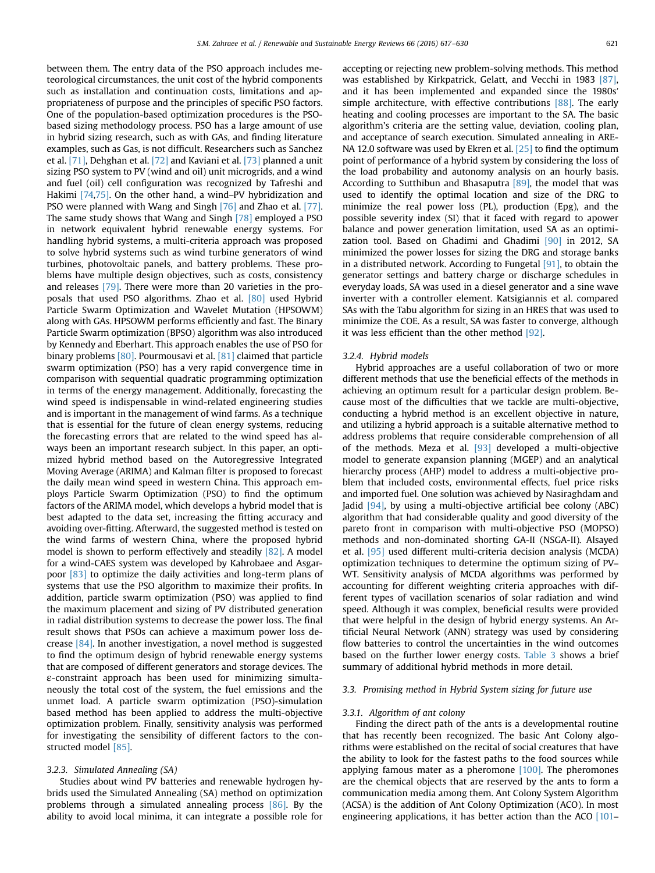between them. The entry data of the PSO approach includes meteorological circumstances, the unit cost of the hybrid components such as installation and continuation costs, limitations and appropriateness of purpose and the principles of specific PSO factors. One of the population-based optimization procedures is the PSObased sizing methodology process. PSO has a large amount of use in hybrid sizing research, such as with GAs, and finding literature examples, such as Gas, is not difficult. Researchers such as Sanchez et al. [\[71\],](#page-12-0) Dehghan et al. [\[72\]](#page-12-0) and Kaviani et al. [\[73\]](#page-12-0) planned a unit sizing PSO system to PV (wind and oil) unit microgrids, and a wind and fuel (oil) cell configuration was recognized by Tafreshi and Hakimi [\[74,75\]](#page-12-0). On the other hand, a wind–PV hybridization and PSO were planned with Wang and Singh [\[76\]](#page-12-0) and Zhao et al. [\[77\].](#page-12-0) The same study shows that Wang and Singh [\[78\]](#page-12-0) employed a PSO in network equivalent hybrid renewable energy systems. For handling hybrid systems, a multi-criteria approach was proposed to solve hybrid systems such as wind turbine generators of wind turbines, photovoltaic panels, and battery problems. These problems have multiple design objectives, such as costs, consistency and releases [\[79\]](#page-12-0). There were more than 20 varieties in the proposals that used PSO algorithms. Zhao et al. [\[80\]](#page-12-0) used Hybrid Particle Swarm Optimization and Wavelet Mutation (HPSOWM) along with GAs. HPSOWM performs efficiently and fast. The Binary Particle Swarm optimization (BPSO) algorithm was also introduced by Kennedy and Eberhart. This approach enables the use of PSO for binary problems [\[80\]](#page-12-0). Pourmousavi et al. [\[81\]](#page-12-0) claimed that particle swarm optimization (PSO) has a very rapid convergence time in comparison with sequential quadratic programming optimization in terms of the energy management. Additionally, forecasting the wind speed is indispensable in wind-related engineering studies and is important in the management of wind farms. As a technique that is essential for the future of clean energy systems, reducing the forecasting errors that are related to the wind speed has always been an important research subject. In this paper, an optimized hybrid method based on the Autoregressive Integrated Moving Average (ARIMA) and Kalman filter is proposed to forecast the daily mean wind speed in western China. This approach employs Particle Swarm Optimization (PSO) to find the optimum factors of the ARIMA model, which develops a hybrid model that is best adapted to the data set, increasing the fitting accuracy and avoiding over-fitting. Afterward, the suggested method is tested on the wind farms of western China, where the proposed hybrid model is shown to perform effectively and steadily [\[82\].](#page-12-0) A model for a wind-CAES system was developed by Kahrobaee and Asgarpoor [\[83\]](#page-12-0) to optimize the daily activities and long-term plans of systems that use the PSO algorithm to maximize their profits. In addition, particle swarm optimization (PSO) was applied to find the maximum placement and sizing of PV distributed generation in radial distribution systems to decrease the power loss. The final result shows that PSOs can achieve a maximum power loss decrease [\[84\]](#page-12-0). In another investigation, a novel method is suggested to find the optimum design of hybrid renewable energy systems that are composed of different generators and storage devices. The ε-constraint approach has been used for minimizing simultaneously the total cost of the system, the fuel emissions and the unmet load. A particle swarm optimization (PSO)-simulation based method has been applied to address the multi-objective optimization problem. Finally, sensitivity analysis was performed for investigating the sensibility of different factors to the constructed model [\[85\]](#page-12-0).

#### 3.2.3. Simulated Annealing (SA)

Studies about wind PV batteries and renewable hydrogen hybrids used the Simulated Annealing (SA) method on optimization problems through a simulated annealing process [\[86\]](#page-12-0). By the ability to avoid local minima, it can integrate a possible role for accepting or rejecting new problem-solving methods. This method was established by Kirkpatrick, Gelatt, and Vecchi in 1983 [\[87\],](#page-12-0) and it has been implemented and expanded since the 1980s′ simple architecture, with effective contributions [\[88\]](#page-12-0). The early heating and cooling processes are important to the SA. The basic algorithm's criteria are the setting value, deviation, cooling plan, and acceptance of search execution. Simulated annealing in ARE-NA 12.0 software was used by Ekren et al. [\[25\]](#page-11-0) to find the optimum point of performance of a hybrid system by considering the loss of the load probability and autonomy analysis on an hourly basis. According to Sutthibun and Bhasaputra [\[89\],](#page-12-0) the model that was used to identify the optimal location and size of the DRG to minimize the real power loss (PL), production (Epg), and the possible severity index (SI) that it faced with regard to apower balance and power generation limitation, used SA as an optimization tool. Based on Ghadimi and Ghadimi [\[90\]](#page-12-0) in 2012, SA minimized the power losses for sizing the DRG and storage banks in a distributed network. According to Fungetal [\[91\]](#page-12-0), to obtain the generator settings and battery charge or discharge schedules in everyday loads, SA was used in a diesel generator and a sine wave inverter with a controller element. Katsigiannis et al. compared SAs with the Tabu algorithm for sizing in an HRES that was used to minimize the COE. As a result, SA was faster to converge, although it was less efficient than the other method [\[92\].](#page-12-0)

#### 3.2.4. Hybrid models

Hybrid approaches are a useful collaboration of two or more different methods that use the beneficial effects of the methods in achieving an optimum result for a particular design problem. Because most of the difficulties that we tackle are multi-objective, conducting a hybrid method is an excellent objective in nature, and utilizing a hybrid approach is a suitable alternative method to address problems that require considerable comprehension of all of the methods. Meza et al. [\[93\]](#page-12-0) developed a multi-objective model to generate expansion planning (MGEP) and an analytical hierarchy process (AHP) model to address a multi-objective problem that included costs, environmental effects, fuel price risks and imported fuel. One solution was achieved by Nasiraghdam and Jadid [\[94\]](#page-12-0), by using a multi-objective artificial bee colony (ABC) algorithm that had considerable quality and good diversity of the pareto front in comparison with multi-objective PSO (MOPSO) methods and non-dominated shorting GA-II (NSGA-II). Alsayed et al. [\[95\]](#page-12-0) used different multi-criteria decision analysis (MCDA) optimization techniques to determine the optimum sizing of PV– WT. Sensitivity analysis of MCDA algorithms was performed by accounting for different weighting criteria approaches with different types of vacillation scenarios of solar radiation and wind speed. Although it was complex, beneficial results were provided that were helpful in the design of hybrid energy systems. An Artificial Neural Network (ANN) strategy was used by considering flow batteries to control the uncertainties in the wind outcomes based on the further lower energy costs. [Table 3](#page-5-0) shows a brief summary of additional hybrid methods in more detail.

# 3.3. Promising method in Hybrid System sizing for future use

#### 3.3.1. Algorithm of ant colony

Finding the direct path of the ants is a developmental routine that has recently been recognized. The basic Ant Colony algorithms were established on the recital of social creatures that have the ability to look for the fastest paths to the food sources while applying famous mater as a pheromone  $[100]$ . The pheromones are the chemical objects that are reserved by the ants to form a communication media among them. Ant Colony System Algorithm (ACSA) is the addition of Ant Colony Optimization (ACO). In most engineering applications, it has better action than the ACO [\[101](#page-12-0)–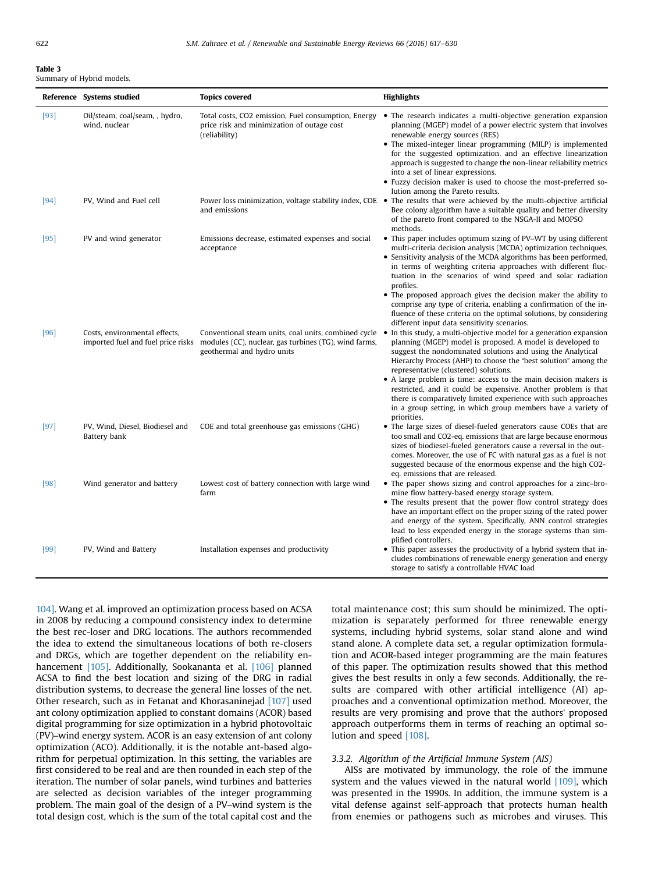#### <span id="page-5-0"></span>Table 3 Summary of Hybrid models.

|        | Reference Systems studied                       | <b>Topics covered</b>                                                                                                                                                          | <b>Highlights</b>                                                                                                                                                                                                                                                                                                                                                                                                                                                                                                                                                                                                   |
|--------|-------------------------------------------------|--------------------------------------------------------------------------------------------------------------------------------------------------------------------------------|---------------------------------------------------------------------------------------------------------------------------------------------------------------------------------------------------------------------------------------------------------------------------------------------------------------------------------------------------------------------------------------------------------------------------------------------------------------------------------------------------------------------------------------------------------------------------------------------------------------------|
| $[93]$ | Oil/steam, coal/seam, , hydro,<br>wind, nuclear | price risk and minimization of outage cost<br>(reliability)                                                                                                                    | Total costs, CO2 emission, Fuel consumption, Energy • The research indicates a multi-objective generation expansion<br>planning (MGEP) model of a power electric system that involves<br>renewable energy sources (RES)<br>• The mixed-integer linear programming (MILP) is implemented<br>for the suggested optimization, and an effective linearization<br>approach is suggested to change the non-linear reliability metrics<br>into a set of linear expressions.<br>• Fuzzy decision maker is used to choose the most-preferred so-                                                                             |
| $[94]$ | PV, Wind and Fuel cell                          | and emissions                                                                                                                                                                  | lution among the Pareto results.<br>Power loss minimization, voltage stability index, COE • The results that were achieved by the multi-objective artificial<br>Bee colony algorithm have a suitable quality and better diversity<br>of the pareto front compared to the NSGA-II and MOPSO<br>methods.                                                                                                                                                                                                                                                                                                              |
| [95]   | PV and wind generator                           | Emissions decrease, estimated expenses and social<br>acceptance                                                                                                                | • This paper includes optimum sizing of PV-WT by using different<br>multi-criteria decision analysis (MCDA) optimization techniques.<br>• Sensitivity analysis of the MCDA algorithms has been performed,<br>in terms of weighting criteria approaches with different fluc-<br>tuation in the scenarios of wind speed and solar radiation<br>profiles.<br>• The proposed approach gives the decision maker the ability to<br>comprise any type of criteria, enabling a confirmation of the in-<br>fluence of these criteria on the optimal solutions, by considering<br>different input data sensitivity scenarios. |
| $[96]$ | Costs, environmental effects,                   | Conventional steam units, coal units, combined cycle<br>imported fuel and fuel price risks modules (CC), nuclear, gas turbines (TG), wind farms,<br>geothermal and hydro units | In this study, a multi-objective model for a generation expansion<br>$\bullet$<br>planning (MGEP) model is proposed. A model is developed to<br>suggest the nondominated solutions and using the Analytical<br>Hierarchy Process (AHP) to choose the "best solution" among the<br>representative (clustered) solutions.<br>• A large problem is time: access to the main decision makers is<br>restricted, and it could be expensive. Another problem is that<br>there is comparatively limited experience with such approaches<br>in a group setting, in which group members have a variety of<br>priorities.      |
| $[97]$ | PV, Wind, Diesel, Biodiesel and<br>Battery bank | COE and total greenhouse gas emissions (GHG)                                                                                                                                   | • The large sizes of diesel-fueled generators cause COEs that are<br>too small and CO2-eq. emissions that are large because enormous<br>sizes of biodiesel-fueled generators cause a reversal in the out-<br>comes. Moreover, the use of FC with natural gas as a fuel is not<br>suggested because of the enormous expense and the high CO2-<br>eq. emissions that are released.                                                                                                                                                                                                                                    |
| [98]   | Wind generator and battery                      | Lowest cost of battery connection with large wind<br>farm                                                                                                                      | • The paper shows sizing and control approaches for a zinc-bro-<br>mine flow battery-based energy storage system.<br>• The results present that the power flow control strategy does<br>have an important effect on the proper sizing of the rated power<br>and energy of the system. Specifically, ANN control strategies<br>lead to less expended energy in the storage systems than sim-<br>plified controllers.                                                                                                                                                                                                 |
| $[99]$ | PV, Wind and Battery                            | Installation expenses and productivity                                                                                                                                         | • This paper assesses the productivity of a hybrid system that in-<br>cludes combinations of renewable energy generation and energy<br>storage to satisfy a controllable HVAC load                                                                                                                                                                                                                                                                                                                                                                                                                                  |

[104\]](#page-12-0). Wang et al. improved an optimization process based on ACSA in 2008 by reducing a compound consistency index to determine the best rec-loser and DRG locations. The authors recommended the idea to extend the simultaneous locations of both re-closers and DRGs, which are together dependent on the reliability en-hancement [\[105\].](#page-12-0) Additionally, Sookananta et al. [\[106\]](#page-12-0) planned ACSA to find the best location and sizing of the DRG in radial distribution systems, to decrease the general line losses of the net. Other research, such as in Fetanat and Khorasaninejad [\[107\]](#page-12-0) used ant colony optimization applied to constant domains (ACOR) based digital programming for size optimization in a hybrid photovoltaic (PV)–wind energy system. ACOR is an easy extension of ant colony optimization (ACO). Additionally, it is the notable ant-based algorithm for perpetual optimization. In this setting, the variables are first considered to be real and are then rounded in each step of the iteration. The number of solar panels, wind turbines and batteries are selected as decision variables of the integer programming problem. The main goal of the design of a PV–wind system is the total design cost, which is the sum of the total capital cost and the total maintenance cost; this sum should be minimized. The optimization is separately performed for three renewable energy systems, including hybrid systems, solar stand alone and wind stand alone. A complete data set, a regular optimization formulation and ACOR-based integer programming are the main features of this paper. The optimization results showed that this method gives the best results in only a few seconds. Additionally, the results are compared with other artificial intelligence (AI) approaches and a conventional optimization method. Moreover, the results are very promising and prove that the authors' proposed approach outperforms them in terms of reaching an optimal solution and speed [\[108\]](#page-12-0).

#### 3.3.2. Algorithm of the Artificial Immune System (AIS)

AISs are motivated by immunology, the role of the immune system and the values viewed in the natural world [\[109\]](#page-12-0), which was presented in the 1990s. In addition, the immune system is a vital defense against self-approach that protects human health from enemies or pathogens such as microbes and viruses. This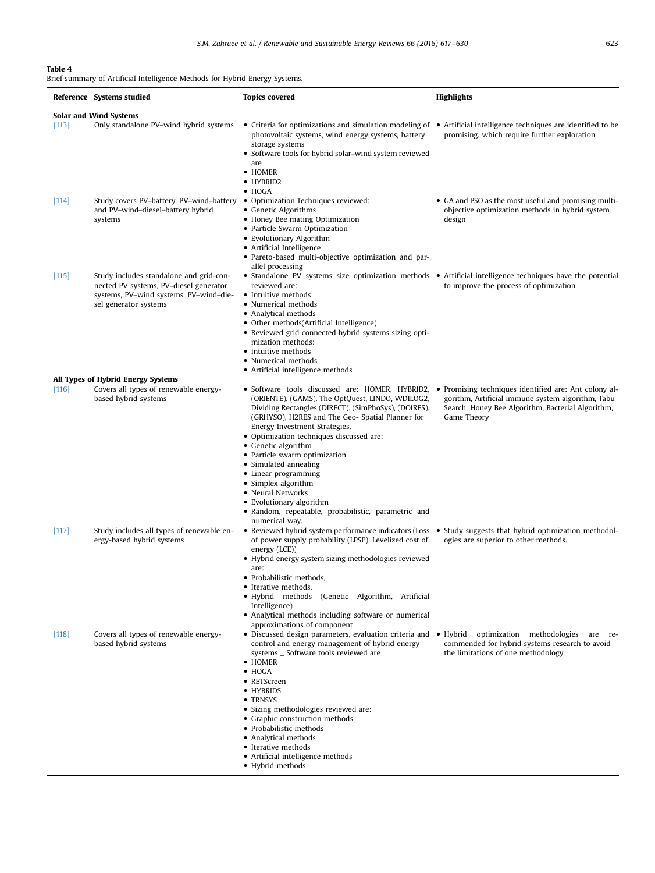# <span id="page-6-0"></span>Table 4

Brief summary of Artificial Intelligence Methods for Hybrid Energy Systems.

|         | Reference Systems studied                                                                                                                            | <b>Topics covered</b>                                                                                                                                                                                                                                                                                                                                                                                                                                                                                  | <b>Highlights</b>                                                                                                                                                                                                              |
|---------|------------------------------------------------------------------------------------------------------------------------------------------------------|--------------------------------------------------------------------------------------------------------------------------------------------------------------------------------------------------------------------------------------------------------------------------------------------------------------------------------------------------------------------------------------------------------------------------------------------------------------------------------------------------------|--------------------------------------------------------------------------------------------------------------------------------------------------------------------------------------------------------------------------------|
|         | <b>Solar and Wind Systems</b>                                                                                                                        |                                                                                                                                                                                                                                                                                                                                                                                                                                                                                                        |                                                                                                                                                                                                                                |
| [113]   | Only standalone PV-wind hybrid systems                                                                                                               | • Criteria for optimizations and simulation modeling of • Artificial intelligence techniques are identified to be<br>photovoltaic systems, wind energy systems, battery<br>storage systems<br>• Software tools for hybrid solar-wind system reviewed<br>are<br>$\bullet$ HOMER<br>• HYBRID2<br>$\bullet$ HOGA                                                                                                                                                                                          | promising. which require further exploration                                                                                                                                                                                   |
| [114]   | Study covers PV-battery, PV-wind-battery<br>and PV-wind-diesel-battery hybrid<br>systems                                                             | • Optimization Techniques reviewed:<br>• Genetic Algorithms<br>• Honey Bee mating Optimization<br>• Particle Swarm Optimization<br>• Evolutionary Algorithm<br>• Artificial Intelligence<br>• Pareto-based multi-objective optimization and par-                                                                                                                                                                                                                                                       | • GA and PSO as the most useful and promising multi-<br>objective optimization methods in hybrid system<br>design                                                                                                              |
| [115]   | Study includes standalone and grid-con-<br>nected PV systems, PV-diesel generator<br>systems, PV-wind systems, PV-wind-die-<br>sel generator systems | allel processing<br>reviewed are:<br>• Intuitive methods<br>• Numerical methods<br>• Analytical methods<br>• Other methods(Artificial Intelligence)<br>• Reviewed grid connected hybrid systems sizing opti-<br>mization methods:<br>• Intuitive methods<br>• Numerical methods<br>• Artificial intelligence methods                                                                                                                                                                                   | • Standalone PV systems size optimization methods • Artificial intelligence techniques have the potential<br>to improve the process of optimization                                                                            |
| [116]   | All Types of Hybrid Energy Systems<br>Covers all types of renewable energy-<br>based hybrid systems                                                  | (ORIENTE), (GAMS). The OptQuest, LINDO, WDILOG2,<br>Dividing Rectangles (DIRECT). (SimPhoSys), (DOIRES).<br>(GRHYSO), H2RES and The Geo- Spatial Planner for<br>Energy Investment Strategies.<br>• Optimization techniques discussed are:<br>• Genetic algorithm<br>• Particle swarm optimization<br>• Simulated annealing<br>• Linear programming<br>• Simplex algorithm<br>• Neural Networks<br>• Evolutionary algorithm<br>· Random, repeatable, probabilistic, parametric and                      | • Software tools discussed are: HOMER, HYBRID2, • Promising techniques identified are: Ant colony al-<br>gorithm, Artificial immune system algorithm, Tabu<br>Search, Honey Bee Algorithm, Bacterial Algorithm,<br>Game Theory |
| $[117]$ | Study includes all types of renewable en-<br>ergy-based hybrid systems                                                                               | numerical way.<br>of power supply probability (LPSP), Levelized cost of<br>energy (LCE))<br>• Hybrid energy system sizing methodologies reviewed<br>are:<br>· Probabilistic methods,<br>• Iterative methods,<br>· Hybrid methods (Genetic Algorithm, Artificial<br>Intelligence)<br>• Analytical methods including software or numerical                                                                                                                                                               | • Reviewed hybrid system performance indicators (Loss • Study suggests that hybrid optimization methodol-<br>ogies are superior to other methods.                                                                              |
| $[118]$ | Covers all types of renewable energy-<br>based hybrid systems                                                                                        | approximations of component<br>• Discussed design parameters, evaluation criteria and • Hybrid optimization methodologies<br>control and energy management of hybrid energy<br>systems _ Software tools reviewed are<br>• HOMER<br>$\bullet$ HOGA<br>• RETScreen<br>• HYBRIDS<br>• TRNSYS<br>• Sizing methodologies reviewed are:<br>• Graphic construction methods<br>• Probabilistic methods<br>• Analytical methods<br>• Iterative methods<br>• Artificial intelligence methods<br>• Hybrid methods | are<br>re-<br>commended for hybrid systems research to avoid<br>the limitations of one methodology                                                                                                                             |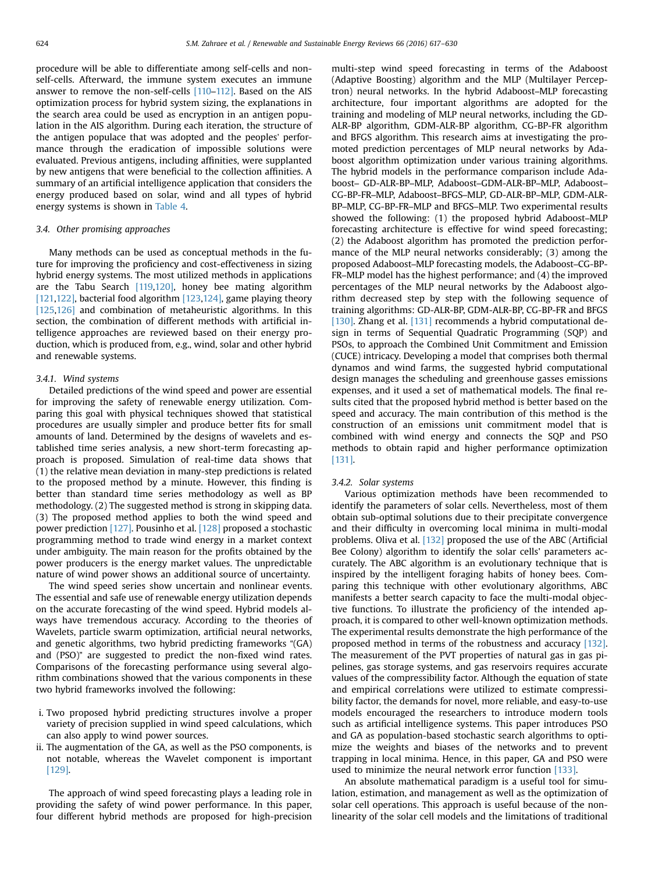procedure will be able to differentiate among self-cells and nonself-cells. Afterward, the immune system executes an immune answer to remove the non-self-cells [\[110](#page-12-0)–[112\]](#page-12-0). Based on the AIS optimization process for hybrid system sizing, the explanations in the search area could be used as encryption in an antigen population in the AIS algorithm. During each iteration, the structure of the antigen populace that was adopted and the peoples' performance through the eradication of impossible solutions were evaluated. Previous antigens, including affinities, were supplanted by new antigens that were beneficial to the collection affinities. A summary of an artificial intelligence application that considers the energy produced based on solar, wind and all types of hybrid energy systems is shown in [Table 4.](#page-6-0)

### 3.4. Other promising approaches

Many methods can be used as conceptual methods in the future for improving the proficiency and cost-effectiveness in sizing hybrid energy systems. The most utilized methods in applications are the Tabu Search [\[119,120\],](#page-12-0) honey bee mating algorithm [\[121,122\],](#page-12-0) bacterial food algorithm  $[123,124]$  $[123,124]$ , game playing theory  $[125,126]$  and combination of metaheuristic algorithms. In this section, the combination of different methods with artificial intelligence approaches are reviewed based on their energy production, which is produced from, e.g., wind, solar and other hybrid and renewable systems.

#### 3.4.1. Wind systems

Detailed predictions of the wind speed and power are essential for improving the safety of renewable energy utilization. Comparing this goal with physical techniques showed that statistical procedures are usually simpler and produce better fits for small amounts of land. Determined by the designs of wavelets and established time series analysis, a new short-term forecasting approach is proposed. Simulation of real-time data shows that (1) the relative mean deviation in many-step predictions is related to the proposed method by a minute. However, this finding is better than standard time series methodology as well as BP methodology. (2) The suggested method is strong in skipping data. (3) The proposed method applies to both the wind speed and power prediction [\[127\].](#page-13-0) Pousinho et al. [\[128\]](#page-13-0) proposed a stochastic programming method to trade wind energy in a market context under ambiguity. The main reason for the profits obtained by the power producers is the energy market values. The unpredictable nature of wind power shows an additional source of uncertainty.

The wind speed series show uncertain and nonlinear events. The essential and safe use of renewable energy utilization depends on the accurate forecasting of the wind speed. Hybrid models always have tremendous accuracy. According to the theories of Wavelets, particle swarm optimization, artificial neural networks, and genetic algorithms, two hybrid predicting frameworks "(GA) and (PSO)" are suggested to predict the non-fixed wind rates. Comparisons of the forecasting performance using several algorithm combinations showed that the various components in these two hybrid frameworks involved the following:

- i. Two proposed hybrid predicting structures involve a proper variety of precision supplied in wind speed calculations, which can also apply to wind power sources.
- ii. The augmentation of the GA, as well as the PSO components, is not notable, whereas the Wavelet component is important [\[129\]](#page-13-0).

The approach of wind speed forecasting plays a leading role in providing the safety of wind power performance. In this paper, four different hybrid methods are proposed for high-precision multi-step wind speed forecasting in terms of the Adaboost (Adaptive Boosting) algorithm and the MLP (Multilayer Perceptron) neural networks. In the hybrid Adaboost–MLP forecasting architecture, four important algorithms are adopted for the training and modeling of MLP neural networks, including the GD-ALR-BP algorithm, GDM-ALR-BP algorithm, CG-BP-FR algorithm and BFGS algorithm. This research aims at investigating the promoted prediction percentages of MLP neural networks by Adaboost algorithm optimization under various training algorithms. The hybrid models in the performance comparison include Adaboost– GD-ALR-BP–MLP, Adaboost–GDM-ALR-BP–MLP, Adaboost– CG-BP-FR–MLP, Adaboost–BFGS–MLP, GD-ALR-BP–MLP, GDM-ALR-BP–MLP, CG-BP-FR–MLP and BFGS–MLP. Two experimental results showed the following: (1) the proposed hybrid Adaboost–MLP forecasting architecture is effective for wind speed forecasting; (2) the Adaboost algorithm has promoted the prediction performance of the MLP neural networks considerably; (3) among the proposed Adaboost–MLP forecasting models, the Adaboost–CG-BP-FR–MLP model has the highest performance; and (4) the improved percentages of the MLP neural networks by the Adaboost algorithm decreased step by step with the following sequence of training algorithms: GD-ALR-BP, GDM-ALR-BP, CG-BP-FR and BFGS [\[130\]](#page-13-0). Zhang et al. [\[131\]](#page-13-0) recommends a hybrid computational design in terms of Sequential Quadratic Programming (SQP) and PSOs, to approach the Combined Unit Commitment and Emission (CUCE) intricacy. Developing a model that comprises both thermal dynamos and wind farms, the suggested hybrid computational design manages the scheduling and greenhouse gasses emissions expenses, and it used a set of mathematical models. The final results cited that the proposed hybrid method is better based on the speed and accuracy. The main contribution of this method is the construction of an emissions unit commitment model that is combined with wind energy and connects the SQP and PSO methods to obtain rapid and higher performance optimization [\[131\].](#page-13-0)

# 3.4.2. Solar systems

Various optimization methods have been recommended to identify the parameters of solar cells. Nevertheless, most of them obtain sub-optimal solutions due to their precipitate convergence and their difficulty in overcoming local minima in multi-modal problems. Oliva et al. [\[132\]](#page-13-0) proposed the use of the ABC (Artificial Bee Colony) algorithm to identify the solar cells' parameters accurately. The ABC algorithm is an evolutionary technique that is inspired by the intelligent foraging habits of honey bees. Comparing this technique with other evolutionary algorithms, ABC manifests a better search capacity to face the multi-modal objective functions. To illustrate the proficiency of the intended approach, it is compared to other well-known optimization methods. The experimental results demonstrate the high performance of the proposed method in terms of the robustness and accuracy [\[132\].](#page-13-0) The measurement of the PVT properties of natural gas in gas pipelines, gas storage systems, and gas reservoirs requires accurate values of the compressibility factor. Although the equation of state and empirical correlations were utilized to estimate compressibility factor, the demands for novel, more reliable, and easy-to-use models encouraged the researchers to introduce modern tools such as artificial intelligence systems. This paper introduces PSO and GA as population-based stochastic search algorithms to optimize the weights and biases of the networks and to prevent trapping in local minima. Hence, in this paper, GA and PSO were used to minimize the neural network error function [\[133\].](#page-13-0)

An absolute mathematical paradigm is a useful tool for simulation, estimation, and management as well as the optimization of solar cell operations. This approach is useful because of the nonlinearity of the solar cell models and the limitations of traditional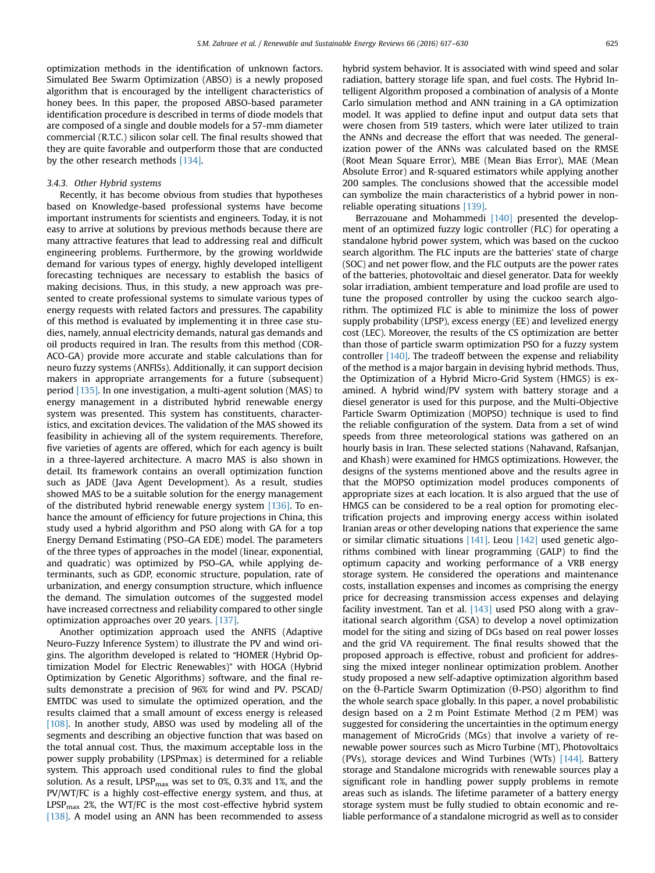optimization methods in the identification of unknown factors. Simulated Bee Swarm Optimization (ABSO) is a newly proposed algorithm that is encouraged by the intelligent characteristics of honey bees. In this paper, the proposed ABSO-based parameter identification procedure is described in terms of diode models that are composed of a single and double models for a 57-mm diameter commercial (R.T.C.) silicon solar cell. The final results showed that they are quite favorable and outperform those that are conducted by the other research methods [\[134\].](#page-13-0)

# 3.4.3. Other Hybrid systems

Recently, it has become obvious from studies that hypotheses based on Knowledge-based professional systems have become important instruments for scientists and engineers. Today, it is not easy to arrive at solutions by previous methods because there are many attractive features that lead to addressing real and difficult engineering problems. Furthermore, by the growing worldwide demand for various types of energy, highly developed intelligent forecasting techniques are necessary to establish the basics of making decisions. Thus, in this study, a new approach was presented to create professional systems to simulate various types of energy requests with related factors and pressures. The capability of this method is evaluated by implementing it in three case studies, namely, annual electricity demands, natural gas demands and oil products required in Iran. The results from this method (COR-ACO-GA) provide more accurate and stable calculations than for neuro fuzzy systems (ANFISs). Additionally, it can support decision makers in appropriate arrangements for a future (subsequent) period [\[135\]](#page-13-0). In one investigation, a multi-agent solution (MAS) to energy management in a distributed hybrid renewable energy system was presented. This system has constituents, characteristics, and excitation devices. The validation of the MAS showed its feasibility in achieving all of the system requirements. Therefore, five varieties of agents are offered, which for each agency is built in a three-layered architecture. A macro MAS is also shown in detail. Its framework contains an overall optimization function such as JADE (Java Agent Development). As a result, studies showed MAS to be a suitable solution for the energy management of the distributed hybrid renewable energy system [\[136\].](#page-13-0) To enhance the amount of efficiency for future projections in China, this study used a hybrid algorithm and PSO along with GA for a top Energy Demand Estimating (PSO–GA EDE) model. The parameters of the three types of approaches in the model (linear, exponential, and quadratic) was optimized by PSO–GA, while applying determinants, such as GDP, economic structure, population, rate of urbanization, and energy consumption structure, which influence the demand. The simulation outcomes of the suggested model have increased correctness and reliability compared to other single optimization approaches over 20 years. [\[137\]](#page-13-0).

Another optimization approach used the ANFIS (Adaptive Neuro-Fuzzy Inference System) to illustrate the PV and wind origins. The algorithm developed is related to "HOMER (Hybrid Optimization Model for Electric Renewables)" with HOGA (Hybrid Optimization by Genetic Algorithms) software, and the final results demonstrate a precision of 96% for wind and PV. PSCAD/ EMTDC was used to simulate the optimized operation, and the results claimed that a small amount of excess energy is released [\[108\]](#page-12-0). In another study, ABSO was used by modeling all of the segments and describing an objective function that was based on the total annual cost. Thus, the maximum acceptable loss in the power supply probability (LPSPmax) is determined for a reliable system. This approach used conditional rules to find the global solution. As a result, LPSP<sub>max</sub> was set to 0%, 0.3% and 1%, and the PV/WT/FC is a highly cost-effective energy system, and thus, at LPSP $_{\text{max}}$  2%, the WT/FC is the most cost-effective hybrid system [\[138\]](#page-13-0). A model using an ANN has been recommended to assess hybrid system behavior. It is associated with wind speed and solar radiation, battery storage life span, and fuel costs. The Hybrid Intelligent Algorithm proposed a combination of analysis of a Monte Carlo simulation method and ANN training in a GA optimization model. It was applied to define input and output data sets that were chosen from 519 tasters, which were later utilized to train the ANNs and decrease the effort that was needed. The generalization power of the ANNs was calculated based on the RMSE (Root Mean Square Error), MBE (Mean Bias Error), MAE (Mean Absolute Error) and R-squared estimators while applying another 200 samples. The conclusions showed that the accessible model can symbolize the main characteristics of a hybrid power in nonreliable operating situations [\[139\].](#page-13-0)

Berrazouane and Mohammedi [\[140\]](#page-13-0) presented the development of an optimized fuzzy logic controller (FLC) for operating a standalone hybrid power system, which was based on the cuckoo search algorithm. The FLC inputs are the batteries' state of charge (SOC) and net power flow, and the FLC outputs are the power rates of the batteries, photovoltaic and diesel generator. Data for weekly solar irradiation, ambient temperature and load profile are used to tune the proposed controller by using the cuckoo search algorithm. The optimized FLC is able to minimize the loss of power supply probability (LPSP), excess energy (EE) and levelized energy cost (LEC). Moreover, the results of the CS optimization are better than those of particle swarm optimization PSO for a fuzzy system controller [\[140\].](#page-13-0) The tradeoff between the expense and reliability of the method is a major bargain in devising hybrid methods. Thus, the Optimization of a Hybrid Micro-Grid System (HMGS) is examined. A hybrid wind/PV system with battery storage and a diesel generator is used for this purpose, and the Multi-Objective Particle Swarm Optimization (MOPSO) technique is used to find the reliable configuration of the system. Data from a set of wind speeds from three meteorological stations was gathered on an hourly basis in Iran. These selected stations (Nahavand, Rafsanjan, and Khash) were examined for HMGS optimizations. However, the designs of the systems mentioned above and the results agree in that the MOPSO optimization model produces components of appropriate sizes at each location. It is also argued that the use of HMGS can be considered to be a real option for promoting electrification projects and improving energy access within isolated Iranian areas or other developing nations that experience the same or similar climatic situations [\[141\].](#page-13-0) Leou [\[142\]](#page-13-0) used genetic algorithms combined with linear programming (GALP) to find the optimum capacity and working performance of a VRB energy storage system. He considered the operations and maintenance costs, installation expenses and incomes as comprising the energy price for decreasing transmission access expenses and delaying facility investment. Tan et al. [\[143\]](#page-13-0) used PSO along with a gravitational search algorithm (GSA) to develop a novel optimization model for the siting and sizing of DGs based on real power losses and the grid VA requirement. The final results showed that the proposed approach is effective, robust and proficient for addressing the mixed integer nonlinear optimization problem. Another study proposed a new self-adaptive optimization algorithm based on the θ-Particle Swarm Optimization (θ-PSO) algorithm to find the whole search space globally. In this paper, a novel probabilistic design based on a 2 m Point Estimate Method (2 m PEM) was suggested for considering the uncertainties in the optimum energy management of MicroGrids (MGs) that involve a variety of renewable power sources such as Micro Turbine (MT), Photovoltaics (PVs), storage devices and Wind Turbines (WTs) [\[144\]](#page-13-0). Battery storage and Standalone microgrids with renewable sources play a significant role in handling power supply problems in remote areas such as islands. The lifetime parameter of a battery energy storage system must be fully studied to obtain economic and reliable performance of a standalone microgrid as well as to consider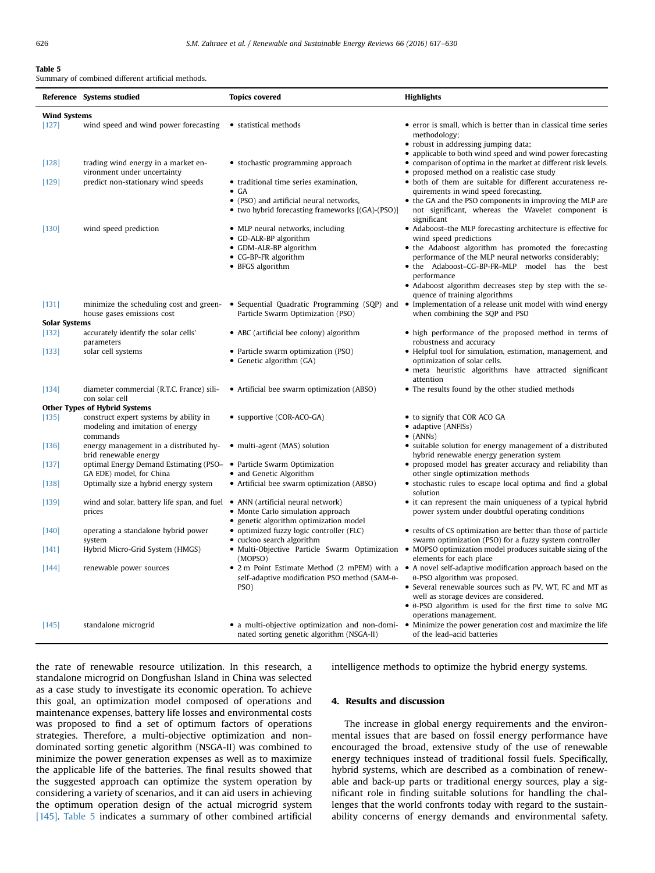#### Table 5

Summary of combined different artificial methods.

|                      | Reference Systems studied                                                                        | <b>Topics covered</b>                                                                                                                                 | <b>Highlights</b>                                                                                                                                                                                                                                                                                                                                                     |
|----------------------|--------------------------------------------------------------------------------------------------|-------------------------------------------------------------------------------------------------------------------------------------------------------|-----------------------------------------------------------------------------------------------------------------------------------------------------------------------------------------------------------------------------------------------------------------------------------------------------------------------------------------------------------------------|
| <b>Wind Systems</b>  |                                                                                                  |                                                                                                                                                       |                                                                                                                                                                                                                                                                                                                                                                       |
| $[127]$              | wind speed and wind power forecasting                                                            | • statistical methods                                                                                                                                 | • error is small, which is better than in classical time series<br>methodology;<br>• robust in addressing jumping data;<br>• applicable to both wind speed and wind power forecasting                                                                                                                                                                                 |
| $[128]$              | trading wind energy in a market en-<br>vironment under uncertainty                               | • stochastic programming approach                                                                                                                     | • comparison of optima in the market at different risk levels.<br>• proposed method on a realistic case study                                                                                                                                                                                                                                                         |
| $[129]$              | predict non-stationary wind speeds                                                               | • traditional time series examination,<br>$\bullet$ GA<br>• (PSO) and artificial neural networks,<br>• two hybrid forecasting frameworks [(GA)-(PSO)] | • both of them are suitable for different accurateness re-<br>quirements in wind speed forecasting.<br>• the GA and the PSO components in improving the MLP are<br>not significant, whereas the Wavelet component is<br>significant                                                                                                                                   |
| $[130]$              | wind speed prediction                                                                            | • MLP neural networks, including<br>• GD-ALR-BP algorithm<br>• GDM-ALR-BP algorithm<br>• CG-BP-FR algorithm<br>• BFGS algorithm                       | • Adaboost-the MLP forecasting architecture is effective for<br>wind speed predictions<br>• the Adaboost algorithm has promoted the forecasting<br>performance of the MLP neural networks considerably;<br>. the Adaboost-CG-BP-FR-MLP model has the best<br>performance<br>• Adaboost algorithm decreases step by step with the se-<br>quence of training algorithms |
| $[131]$              | house gases emissions cost                                                                       | Particle Swarm Optimization (PSO)                                                                                                                     | minimize the scheduling cost and green- • Sequential Quadratic Programming (SQP) and • Implementation of a release unit model with wind energy<br>when combining the SQP and PSO                                                                                                                                                                                      |
| <b>Solar Systems</b> |                                                                                                  |                                                                                                                                                       |                                                                                                                                                                                                                                                                                                                                                                       |
| [132]                | accurately identify the solar cells'<br>parameters                                               | • ABC (artificial bee colony) algorithm                                                                                                               | • high performance of the proposed method in terms of<br>robustness and accuracy                                                                                                                                                                                                                                                                                      |
| $[133]$              | solar cell systems                                                                               | • Particle swarm optimization (PSO)<br>• Genetic algorithm (GA)                                                                                       | · Helpful tool for simulation, estimation, management, and<br>optimization of solar cells.<br>· meta heuristic algorithms have attracted significant<br>attention                                                                                                                                                                                                     |
| [134]                | diameter commercial (R.T.C. France) sili-<br>con solar cell                                      | • Artificial bee swarm optimization (ABSO)                                                                                                            | • The results found by the other studied methods                                                                                                                                                                                                                                                                                                                      |
|                      | <b>Other Types of Hybrid Systems</b>                                                             |                                                                                                                                                       |                                                                                                                                                                                                                                                                                                                                                                       |
| [135]                | construct expert systems by ability in<br>modeling and imitation of energy<br>commands           | • supportive (COR-ACO-GA)                                                                                                                             | • to signify that COR ACO GA<br>· adaptive (ANFISs)<br>$\bullet$ (ANNs)                                                                                                                                                                                                                                                                                               |
| $[136]$              | energy management in a distributed hy-<br>brid renewable energy                                  | • multi-agent (MAS) solution                                                                                                                          | • suitable solution for energy management of a distributed<br>hybrid renewable energy generation system                                                                                                                                                                                                                                                               |
| $[137]$              | optimal Energy Demand Estimating (PSO- • Particle Swarm Optimization<br>GA EDE) model, for China | • and Genetic Algorithm                                                                                                                               | • proposed model has greater accuracy and reliability than<br>other single optimization methods                                                                                                                                                                                                                                                                       |
| [138]                | Optimally size a hybrid energy system                                                            | • Artificial bee swarm optimization (ABSO)                                                                                                            | • stochastic rules to escape local optima and find a global<br>solution                                                                                                                                                                                                                                                                                               |
| $[139]$              | wind and solar, battery life span, and fuel $\bullet$ ANN (artificial neural network)<br>prices  | • Monte Carlo simulation approach<br>• genetic algorithm optimization model                                                                           | • it can represent the main uniqueness of a typical hybrid<br>power system under doubtful operating conditions                                                                                                                                                                                                                                                        |
| $[140]$              | operating a standalone hybrid power<br>system                                                    | · optimized fuzzy logic controller (FLC)<br>• cuckoo search algorithm                                                                                 | • results of CS optimization are better than those of particle<br>swarm optimization (PSO) for a fuzzy system controller                                                                                                                                                                                                                                              |
| [141]                | Hybrid Micro-Grid System (HMGS)                                                                  | (MOPSO)                                                                                                                                               | • Multi-Objective Particle Swarm Optimization • MOPSO optimization model produces suitable sizing of the<br>elements for each place                                                                                                                                                                                                                                   |
| $[144]$              | renewable power sources                                                                          | self-adaptive modification PSO method (SAM-0-<br>PSO)                                                                                                 | • 2 m Point Estimate Method (2 mPEM) with a • A novel self-adaptive modification approach based on the<br>0-PSO algorithm was proposed.<br>• Several renewable sources such as PV, WT, FC and MT as<br>well as storage devices are considered.<br>• 0-PSO algorithm is used for the first time to solve MG<br>operations management.                                  |
| $[145]$              | standalone microgrid                                                                             | nated sorting genetic algorithm (NSGA-II)                                                                                                             | • a multi-objective optimization and non-domi- • Minimize the power generation cost and maximize the life<br>of the lead-acid batteries                                                                                                                                                                                                                               |

the rate of renewable resource utilization. In this research, a standalone microgrid on Dongfushan Island in China was selected as a case study to investigate its economic operation. To achieve this goal, an optimization model composed of operations and maintenance expenses, battery life losses and environmental costs was proposed to find a set of optimum factors of operations strategies. Therefore, a multi-objective optimization and nondominated sorting genetic algorithm (NSGA-II) was combined to minimize the power generation expenses as well as to maximize the applicable life of the batteries. The final results showed that the suggested approach can optimize the system operation by considering a variety of scenarios, and it can aid users in achieving the optimum operation design of the actual microgrid system [\[145\]](#page-13-0). Table 5 indicates a summary of other combined artificial intelligence methods to optimize the hybrid energy systems.

# 4. Results and discussion

The increase in global energy requirements and the environmental issues that are based on fossil energy performance have encouraged the broad, extensive study of the use of renewable energy techniques instead of traditional fossil fuels. Specifically, hybrid systems, which are described as a combination of renewable and back-up parts or traditional energy sources, play a significant role in finding suitable solutions for handling the challenges that the world confronts today with regard to the sustainability concerns of energy demands and environmental safety.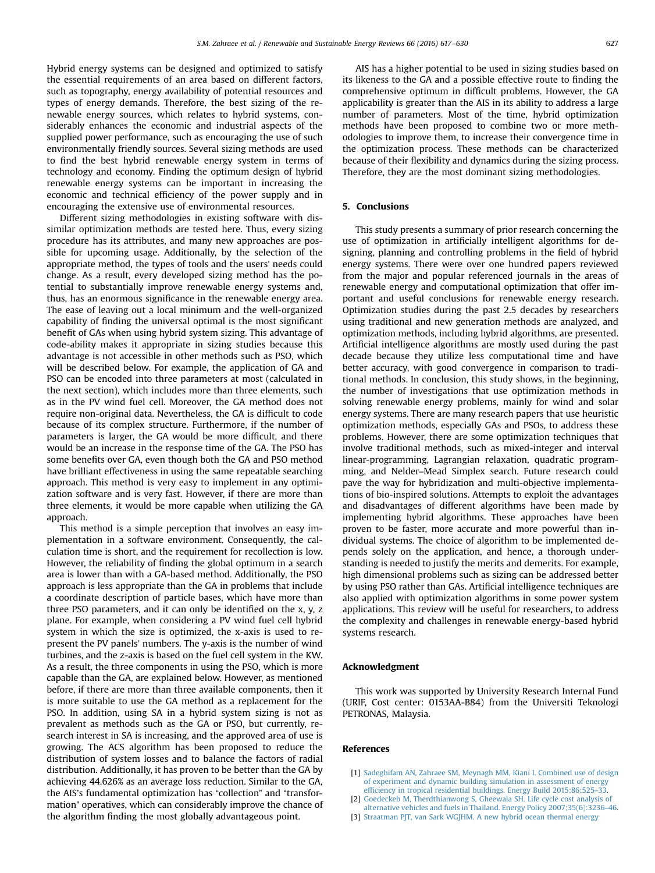<span id="page-10-0"></span>Hybrid energy systems can be designed and optimized to satisfy the essential requirements of an area based on different factors, such as topography, energy availability of potential resources and types of energy demands. Therefore, the best sizing of the renewable energy sources, which relates to hybrid systems, considerably enhances the economic and industrial aspects of the supplied power performance, such as encouraging the use of such environmentally friendly sources. Several sizing methods are used to find the best hybrid renewable energy system in terms of technology and economy. Finding the optimum design of hybrid renewable energy systems can be important in increasing the economic and technical efficiency of the power supply and in encouraging the extensive use of environmental resources.

Different sizing methodologies in existing software with dissimilar optimization methods are tested here. Thus, every sizing procedure has its attributes, and many new approaches are possible for upcoming usage. Additionally, by the selection of the appropriate method, the types of tools and the users' needs could change. As a result, every developed sizing method has the potential to substantially improve renewable energy systems and, thus, has an enormous significance in the renewable energy area. The ease of leaving out a local minimum and the well-organized capability of finding the universal optimal is the most significant benefit of GAs when using hybrid system sizing. This advantage of code-ability makes it appropriate in sizing studies because this advantage is not accessible in other methods such as PSO, which will be described below. For example, the application of GA and PSO can be encoded into three parameters at most (calculated in the next section), which includes more than three elements, such as in the PV wind fuel cell. Moreover, the GA method does not require non-original data. Nevertheless, the GA is difficult to code because of its complex structure. Furthermore, if the number of parameters is larger, the GA would be more difficult, and there would be an increase in the response time of the GA. The PSO has some benefits over GA, even though both the GA and PSO method have brilliant effectiveness in using the same repeatable searching approach. This method is very easy to implement in any optimization software and is very fast. However, if there are more than three elements, it would be more capable when utilizing the GA approach.

This method is a simple perception that involves an easy implementation in a software environment. Consequently, the calculation time is short, and the requirement for recollection is low. However, the reliability of finding the global optimum in a search area is lower than with a GA-based method. Additionally, the PSO approach is less appropriate than the GA in problems that include a coordinate description of particle bases, which have more than three PSO parameters, and it can only be identified on the x, y, z plane. For example, when considering a PV wind fuel cell hybrid system in which the size is optimized, the x-axis is used to represent the PV panels' numbers. The y-axis is the number of wind turbines, and the z-axis is based on the fuel cell system in the KW. As a result, the three components in using the PSO, which is more capable than the GA, are explained below. However, as mentioned before, if there are more than three available components, then it is more suitable to use the GA method as a replacement for the PSO. In addition, using SA in a hybrid system sizing is not as prevalent as methods such as the GA or PSO, but currently, research interest in SA is increasing, and the approved area of use is growing. The ACS algorithm has been proposed to reduce the distribution of system losses and to balance the factors of radial distribution. Additionally, it has proven to be better than the GA by achieving 44.626% as an average loss reduction. Similar to the GA, the AIS's fundamental optimization has "collection" and "transformation" operatives, which can considerably improve the chance of the algorithm finding the most globally advantageous point.

AIS has a higher potential to be used in sizing studies based on its likeness to the GA and a possible effective route to finding the comprehensive optimum in difficult problems. However, the GA applicability is greater than the AIS in its ability to address a large number of parameters. Most of the time, hybrid optimization methods have been proposed to combine two or more methodologies to improve them, to increase their convergence time in the optimization process. These methods can be characterized because of their flexibility and dynamics during the sizing process. Therefore, they are the most dominant sizing methodologies.

# 5. Conclusions

This study presents a summary of prior research concerning the use of optimization in artificially intelligent algorithms for designing, planning and controlling problems in the field of hybrid energy systems. There were over one hundred papers reviewed from the major and popular referenced journals in the areas of renewable energy and computational optimization that offer important and useful conclusions for renewable energy research. Optimization studies during the past 2.5 decades by researchers using traditional and new generation methods are analyzed, and optimization methods, including hybrid algorithms, are presented. Artificial intelligence algorithms are mostly used during the past decade because they utilize less computational time and have better accuracy, with good convergence in comparison to traditional methods. In conclusion, this study shows, in the beginning, the number of investigations that use optimization methods in solving renewable energy problems, mainly for wind and solar energy systems. There are many research papers that use heuristic optimization methods, especially GAs and PSOs, to address these problems. However, there are some optimization techniques that involve traditional methods, such as mixed-integer and interval linear-programming, Lagrangian relaxation, quadratic programming, and Nelder–Mead Simplex search. Future research could pave the way for hybridization and multi-objective implementations of bio-inspired solutions. Attempts to exploit the advantages and disadvantages of different algorithms have been made by implementing hybrid algorithms. These approaches have been proven to be faster, more accurate and more powerful than individual systems. The choice of algorithm to be implemented depends solely on the application, and hence, a thorough understanding is needed to justify the merits and demerits. For example, high dimensional problems such as sizing can be addressed better by using PSO rather than GAs. Artificial intelligence techniques are also applied with optimization algorithms in some power system applications. This review will be useful for researchers, to address the complexity and challenges in renewable energy-based hybrid systems research.

#### Acknowledgment

This work was supported by University Research Internal Fund (URIF, Cost center: 0153AA-B84) from the Universiti Teknologi PETRONAS, Malaysia.

#### References

- [1] [Sadeghifam AN, Zahraee SM, Meynagh MM, Kiani I. Combined use of design](http://refhub.elsevier.com/S1364-0321(16)30460-9/sbref1) [of experiment and dynamic building simulation in assessment of energy](http://refhub.elsevier.com/S1364-0321(16)30460-9/sbref1) effi[ciency in tropical residential buildings. Energy Build 2015;86:525](http://refhub.elsevier.com/S1364-0321(16)30460-9/sbref1)–33.
- [2] [Goedeckeb M, Therdthianwong S, Gheewala SH. Life cycle cost analysis of](http://refhub.elsevier.com/S1364-0321(16)30460-9/sbref2) [alternative vehicles and fuels in Thailand. Energy Policy 2007;35\(6\):3236](http://refhub.elsevier.com/S1364-0321(16)30460-9/sbref2)–46.
- [3] [Straatman PJT, van Sark WGJHM. A new hybrid ocean thermal energy](http://refhub.elsevier.com/S1364-0321(16)30460-9/sbref3)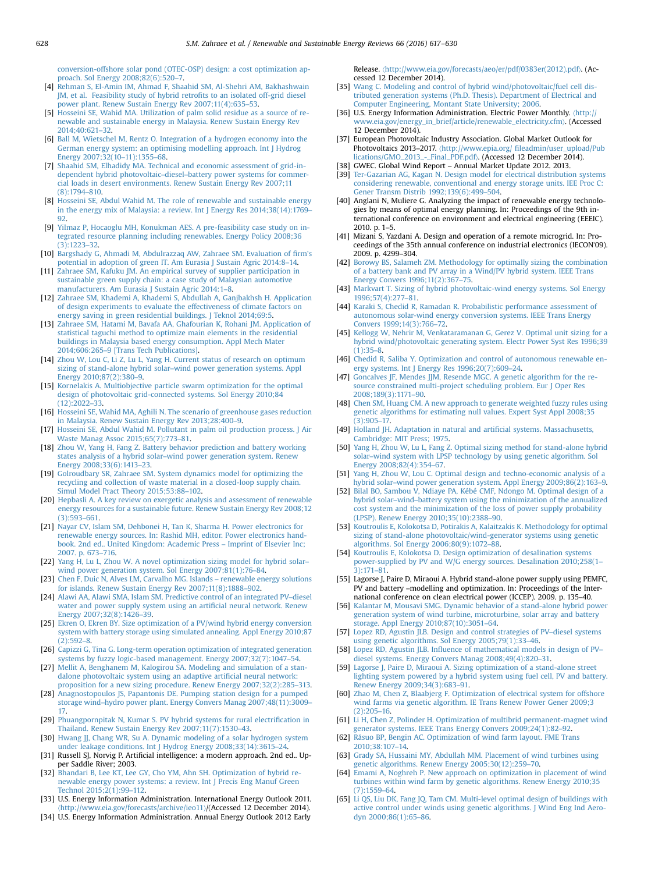<span id="page-11-0"></span>[conversion-offshore solar pond \(OTEC-OSP\) design: a cost optimization ap](http://refhub.elsevier.com/S1364-0321(16)30460-9/sbref3)[proach. Sol Energy 2008;82\(6\):520](http://refhub.elsevier.com/S1364-0321(16)30460-9/sbref3)–7.

- [4] [Rehman S, El-Amin IM, Ahmad F, Shaahid SM, Al-Shehri AM, Bakhashwain](http://refhub.elsevier.com/S1364-0321(16)30460-9/sbref4) [JM, et al. Feasibility study of hybrid retro](http://refhub.elsevier.com/S1364-0321(16)30460-9/sbref4)fits to an isolated off-grid diesel [power plant. Renew Sustain Energy Rev 2007;11\(4\):635](http://refhub.elsevier.com/S1364-0321(16)30460-9/sbref4)–53.
- [5] [Hosseini SE, Wahid MA. Utilization of palm solid residue as a source of re](http://refhub.elsevier.com/S1364-0321(16)30460-9/sbref5)[newable and sustainable energy in Malaysia. Renew Sustain Energy Rev](http://refhub.elsevier.com/S1364-0321(16)30460-9/sbref5) [2014;40:621](http://refhub.elsevier.com/S1364-0321(16)30460-9/sbref5)–32.
- [6] [Ball M, Wietschel M, Rentz O. Integration of a hydrogen economy into the](http://refhub.elsevier.com/S1364-0321(16)30460-9/sbref6) [German energy system: an optimising modelling approach. Int J Hydrog](http://refhub.elsevier.com/S1364-0321(16)30460-9/sbref6) [Energy 2007;32\(10](http://refhub.elsevier.com/S1364-0321(16)30460-9/sbref6)–11):1355–68.
- [7] [Shaahid SM, Elhadidy MA. Technical and economic assessment of grid-in](http://refhub.elsevier.com/S1364-0321(16)30460-9/sbref7)dependent hybrid photovoltaic–diesel–[battery power systems for commer](http://refhub.elsevier.com/S1364-0321(16)30460-9/sbref7)[cial loads in desert environments. Renew Sustain Energy Rev 2007;11](http://refhub.elsevier.com/S1364-0321(16)30460-9/sbref7) [\(8\):1794](http://refhub.elsevier.com/S1364-0321(16)30460-9/sbref7)–810.
- [8] [Hosseini SE, Abdul Wahid M. The role of renewable and sustainable energy](http://refhub.elsevier.com/S1364-0321(16)30460-9/sbref8) [in the energy mix of Malaysia: a review. Int J Energy Res 2014;38\(14\):1769](http://refhub.elsevier.com/S1364-0321(16)30460-9/sbref8)–
- [92.](http://refhub.elsevier.com/S1364-0321(16)30460-9/sbref8) [9] [Yilmaz P, Hocaoglu MH, Konukman AES. A pre-feasibility case study on in](http://refhub.elsevier.com/S1364-0321(16)30460-9/sbref9)[tegrated resource planning including renewables. Energy Policy 2008;36](http://refhub.elsevier.com/S1364-0321(16)30460-9/sbref9) [\(3\):1223](http://refhub.elsevier.com/S1364-0321(16)30460-9/sbref9)–32.
- [10] [Bargshady G, Ahmadi M, Abdulrazzaq AW, Zahraee SM. Evaluation of](http://refhub.elsevier.com/S1364-0321(16)30460-9/sbref10) firm's [potential in adoption of green IT. Am Eurasia J Sustain Agric 2014:8](http://refhub.elsevier.com/S1364-0321(16)30460-9/sbref10)–14.
- [11] [Zahraee SM, Kafuku JM. An empirical survey of supplier participation in](http://refhub.elsevier.com/S1364-0321(16)30460-9/sbref11) [sustainable green supply chain: a case study of Malaysian automotive](http://refhub.elsevier.com/S1364-0321(16)30460-9/sbref11) [manufacturers. Am Eurasia J Sustain Agric 2014:1](http://refhub.elsevier.com/S1364-0321(16)30460-9/sbref11)–8.
- [12] [Zahraee SM, Khademi A, Khademi S, Abdullah A, Ganjbakhsh H. Application](http://refhub.elsevier.com/S1364-0321(16)30460-9/sbref12) [of design experiments to evaluate the effectiveness of climate factors on](http://refhub.elsevier.com/S1364-0321(16)30460-9/sbref12) [energy saving in green residential buildings. J Teknol 2014;69:5.](http://refhub.elsevier.com/S1364-0321(16)30460-9/sbref12)
- [13] [Zahraee SM, Hatami M, Bavafa AA, Ghafourian K, Rohani JM. Application of](http://refhub.elsevier.com/S1364-0321(16)30460-9/sbref13) [statistical taguchi method to optimize main elements in the residential](http://refhub.elsevier.com/S1364-0321(16)30460-9/sbref13) [buildings in Malaysia based energy consumption. Appl Mech Mater](http://refhub.elsevier.com/S1364-0321(16)30460-9/sbref13) [2014;606:265](http://refhub.elsevier.com/S1364-0321(16)30460-9/sbref13)–[9 \[Trans Tech Publications\].](http://refhub.elsevier.com/S1364-0321(16)30460-9/sbref13)
- [14] [Zhou W, Lou C, Li Z, Lu L, Yang H. Current status of research on optimum](http://refhub.elsevier.com/S1364-0321(16)30460-9/sbref14) sizing of stand-alone hybrid solar–[wind power generation systems. Appl](http://refhub.elsevier.com/S1364-0321(16)30460-9/sbref14) [Energy 2010;87\(2\):380](http://refhub.elsevier.com/S1364-0321(16)30460-9/sbref14)–9.
- [15] [Kornelakis A. Multiobjective particle swarm optimization for the optimal](http://refhub.elsevier.com/S1364-0321(16)30460-9/sbref15) [design of photovoltaic grid-connected systems. Sol Energy 2010;84](http://refhub.elsevier.com/S1364-0321(16)30460-9/sbref15) [\(12\):2022](http://refhub.elsevier.com/S1364-0321(16)30460-9/sbref15)–33.
- [16] [Hosseini SE, Wahid MA, Aghili N. The scenario of greenhouse gases reduction](http://refhub.elsevier.com/S1364-0321(16)30460-9/sbref16) [in Malaysia. Renew Sustain Energy Rev 2013;28:400](http://refhub.elsevier.com/S1364-0321(16)30460-9/sbref16)–9.
- [17] [Hosseini SE, Abdul Wahid M. Pollutant in palm oil production process. J Air](http://refhub.elsevier.com/S1364-0321(16)30460-9/sbref17) [Waste Manag Assoc 2015;65\(7\):773](http://refhub.elsevier.com/S1364-0321(16)30460-9/sbref17)–81.
- [18] [Zhou W, Yang H, Fang Z. Battery behavior prediction and battery working](http://refhub.elsevier.com/S1364-0321(16)30460-9/sbref18) states analysis of a hybrid solar–[wind power generation system. Renew](http://refhub.elsevier.com/S1364-0321(16)30460-9/sbref18) [Energy 2008;33\(6\):1413](http://refhub.elsevier.com/S1364-0321(16)30460-9/sbref18)–23.
- [19] [Golroudbary SR, Zahraee SM. System dynamics model for optimizing the](http://refhub.elsevier.com/S1364-0321(16)30460-9/sbref19) [recycling and collection of waste material in a closed-loop supply chain.](http://refhub.elsevier.com/S1364-0321(16)30460-9/sbref19) [Simul Model Pract Theory 2015;53:88](http://refhub.elsevier.com/S1364-0321(16)30460-9/sbref19)–102.
- [20] [Hepbasli A. A key review on exergetic analysis and assessment of renewable](http://refhub.elsevier.com/S1364-0321(16)30460-9/sbref20) [energy resources for a sustainable future. Renew Sustain Energy Rev 2008;12](http://refhub.elsevier.com/S1364-0321(16)30460-9/sbref20) [\(3\):593](http://refhub.elsevier.com/S1364-0321(16)30460-9/sbref20)–661.
- [21] [Nayar CV, Islam SM, Dehbonei H, Tan K, Sharma H. Power electronics for](http://refhub.elsevier.com/S1364-0321(16)30460-9/sbref21) [renewable energy sources. In: Rashid MH, editor. Power electronics hand](http://refhub.elsevier.com/S1364-0321(16)30460-9/sbref21)[book. 2nd ed.. United Kingdom: Academic Press](http://refhub.elsevier.com/S1364-0321(16)30460-9/sbref21) – Imprint of Elsevier Inc; [2007. p. 673](http://refhub.elsevier.com/S1364-0321(16)30460-9/sbref21)–716.
- [22] [Yang H, Lu L, Zhou W. A novel optimization sizing model for hybrid solar](http://refhub.elsevier.com/S1364-0321(16)30460-9/sbref22) [wind power generation system. Sol Energy 2007;81\(1\):76](http://refhub.elsevier.com/S1364-0321(16)30460-9/sbref22)–84.
- [23] [Chen F, Duic N, Alves LM, Carvalho MG. Islands](http://refhub.elsevier.com/S1364-0321(16)30460-9/sbref23) renewable energy solutions [for islands. Renew Sustain Energy Rev 2007;11\(8\):1888](http://refhub.elsevier.com/S1364-0321(16)30460-9/sbref23)–902.
- [24] [Alawi AA, Alawi SMA, Islam SM. Predictive control of an integrated PV](http://refhub.elsevier.com/S1364-0321(16)30460-9/sbref24)–diesel [water and power supply system using an arti](http://refhub.elsevier.com/S1364-0321(16)30460-9/sbref24)ficial neural network. Renew [Energy 2007;32\(8\):1426](http://refhub.elsevier.com/S1364-0321(16)30460-9/sbref24)–39.
- [25] Ekren O, Ekren BY, Size optimization of a PV/wind hybrid energy conversion [system with battery storage using simulated annealing. Appl Energy 2010;87](http://refhub.elsevier.com/S1364-0321(16)30460-9/sbref25) [\(2\):592](http://refhub.elsevier.com/S1364-0321(16)30460-9/sbref25)–8.
- [26] [Capizzi G, Tina G. Long-term operation optimization of integrated generation](http://refhub.elsevier.com/S1364-0321(16)30460-9/sbref26) [systems by fuzzy logic-based management. Energy 2007;32\(7\):1047](http://refhub.elsevier.com/S1364-0321(16)30460-9/sbref26)–54.
- [27] [Mellit A, Benghanem M, Kalogirou SA. Modeling and simulation of a stan](http://refhub.elsevier.com/S1364-0321(16)30460-9/sbref27)[dalone photovoltaic system using an adaptive arti](http://refhub.elsevier.com/S1364-0321(16)30460-9/sbref27)ficial neural network: [proposition for a new sizing procedure. Renew Energy 2007;32\(2\):285](http://refhub.elsevier.com/S1364-0321(16)30460-9/sbref27)–313.
- [28] [Anagnostopoulos JS, Papantonis DE. Pumping station design for a pumped](http://refhub.elsevier.com/S1364-0321(16)30460-9/sbref28) storage wind–[hydro power plant. Energy Convers Manag 2007;48\(11\):3009](http://refhub.elsevier.com/S1364-0321(16)30460-9/sbref28)– [17.](http://refhub.elsevier.com/S1364-0321(16)30460-9/sbref28)
- [29] [Phuangpornpitak N, Kumar S. PV hybrid systems for rural electri](http://refhub.elsevier.com/S1364-0321(16)30460-9/sbref29)fication in [Thailand. Renew Sustain Energy Rev 2007;11\(7\):1530](http://refhub.elsevier.com/S1364-0321(16)30460-9/sbref29)–43.
- [30] [Hwang JJ, Chang WR, Su A. Dynamic modeling of a solar hydrogen system](http://refhub.elsevier.com/S1364-0321(16)30460-9/sbref30) [under leakage conditions. Int J Hydrog Energy 2008;33\(14\):3615](http://refhub.elsevier.com/S1364-0321(16)30460-9/sbref30)–24.
- [31] Russell SJ, Norvig P. Artificial intelligence: a modern approach. 2nd ed.. Upper Saddle River; 2003.
- [32] [Bhandari B, Lee KT, Lee GY, Cho YM, Ahn SH. Optimization of hybrid re](http://refhub.elsevier.com/S1364-0321(16)30460-9/sbref31)[newable energy power systems: a review. Int J Precis Eng Manuf Green](http://refhub.elsevier.com/S1364-0321(16)30460-9/sbref31) [Technol 2015;2\(1\):99](http://refhub.elsevier.com/S1364-0321(16)30460-9/sbref31)–112.
- [33] U.S. Energy Information Administration. International Energy Outlook 2011. 〈<http://www.eia.gov/forecasts/archive/ieo11>〉/(Accessed 12 December 2014).
- [34] U.S. Energy Information Administration. Annual Energy Outlook 2012 Early

Release. 〈[http://www.eia.gov/forecasts/aeo/er/pdf/0383er\(2012\).pdf](http://www.eia.gov/forecasts/aeo/er/pdf/0383er(2012).pdf)〉. (Accessed 12 December 2014).

- [35] [Wang C. Modeling and control of hybrid wind/photovoltaic/fuel cell dis](http://refhub.elsevier.com/S1364-0321(16)30460-9/sbref32)[tributed generation systems \(Ph.D. Thesis\). Department of Electrical and](http://refhub.elsevier.com/S1364-0321(16)30460-9/sbref32) [Computer Engineering, Montant State University; 2006.](http://refhub.elsevier.com/S1364-0321(16)30460-9/sbref32)
- [36] U.S. Energy Information Administration. Electric Power Monthly. 〈[http://](http://www.eia.gov/energy_in_brief/article/renewable_electricity.cfm) [www.eia.gov/energy\\_in\\_brief/article/renewable\\_electricity.cfm](http://www.eia.gov/energy_in_brief/article/renewable_electricity.cfm)〉. (Accessed 12 December 2014).
- [37] European Photovoltaic Industry Association. Global Market Outlook for Photovoltaics 2013–2017. 〈http://www.epia.org/ fi[leadmin/user\\_upload/Pub](http://www.epia.org/%20fileadmin/user_upload/Publications/GMO_2013_-_Final_PDF.pdf) [lications/GMO\\_2013\\_-\\_Final\\_PDF.pdf](http://www.epia.org/%20fileadmin/user_upload/Publications/GMO_2013_-_Final_PDF.pdf)〉. (Accessed 12 December 2014).
- [38] GWEC. Global Wind Report Annual Market Update 2012. 2013.
- [39] [Ter-Gazarian AG, Kagan N. Design model for electrical distribution systems](http://refhub.elsevier.com/S1364-0321(16)30460-9/sbref33) [considering renewable, conventional and energy storage units. IEE Proc C:](http://refhub.elsevier.com/S1364-0321(16)30460-9/sbref33) [Gener Transm Distrib 1992;139\(6\):499](http://refhub.elsevier.com/S1364-0321(16)30460-9/sbref33)–504.
- [40] Anglani N, Muliere G. Analyzing the impact of renewable energy technologies by means of optimal energy planning. In: Proceedings of the 9th international conference on environment and electrical engineering (EEEIC). 2010. p. 1–5.
- [41] Mizani S, Yazdani A. Design and operation of a remote microgrid. In: Proceedings of the 35th annual conference on industrial electronics (IECON'09). 2009. p. 4299–304.
- [42] [Borowy BS, Salameh ZM. Methodology for optimally sizing the combination](http://refhub.elsevier.com/S1364-0321(16)30460-9/sbref34) [of a battery bank and PV array in a Wind/PV hybrid system. IEEE Trans](http://refhub.elsevier.com/S1364-0321(16)30460-9/sbref34) [Energy Convers 1996;11\(2\):367](http://refhub.elsevier.com/S1364-0321(16)30460-9/sbref34)–75.
- [43] [Markvart T. Sizing of hybrid photovoltaic-wind energy systems. Sol Energy](http://refhub.elsevier.com/S1364-0321(16)30460-9/sbref35) [1996;57\(4\):277](http://refhub.elsevier.com/S1364-0321(16)30460-9/sbref35)–81.
- [44] Karaki S, Chedid R, Ramadan R, Probabilistic performance assessment of [autonomous solar-wind energy conversion systems. IEEE Trans Energy](http://refhub.elsevier.com/S1364-0321(16)30460-9/sbref36) [Convers 1999;14\(3\):766](http://refhub.elsevier.com/S1364-0321(16)30460-9/sbref36)–72.
- [45] [Kellogg W, Nehrir M, Venkataramanan G, Gerez V. Optimal unit sizing for a](http://refhub.elsevier.com/S1364-0321(16)30460-9/sbref37) [hybrid wind/photovoltaic generating system. Electr Power Syst Res 1996;39](http://refhub.elsevier.com/S1364-0321(16)30460-9/sbref37)  $(1):35-8.$  $(1):35-8.$
- [46] [Chedid R, Saliba Y. Optimization and control of autonomous renewable en-](http://refhub.elsevier.com/S1364-0321(16)30460-9/sbref38)
- [ergy systems. Int J Energy Res 1996;20\(7\):609](http://refhub.elsevier.com/S1364-0321(16)30460-9/sbref38)–24. [47] [Goncalves JF, Mendes JJM, Resende MGC. A genetic algorithm for the re](http://refhub.elsevier.com/S1364-0321(16)30460-9/sbref39)[source constrained multi-project scheduling problem. Eur J Oper Res](http://refhub.elsevier.com/S1364-0321(16)30460-9/sbref39) [2008;189\(3\):1171](http://refhub.elsevier.com/S1364-0321(16)30460-9/sbref39)–90.
- [48] [Chen SM, Huang CM. A new approach to generate weighted fuzzy rules using](http://refhub.elsevier.com/S1364-0321(16)30460-9/sbref40) [genetic algorithms for estimating null values. Expert Syst Appl 2008;35](http://refhub.elsevier.com/S1364-0321(16)30460-9/sbref40)  $(3):905-17.$  $(3):905-17.$
- [49] [Holland JH. Adaptation in natural and arti](http://refhub.elsevier.com/S1364-0321(16)30460-9/sbref41)ficial systems. Massachusetts, [Cambridge: MIT Press; 1975.](http://refhub.elsevier.com/S1364-0321(16)30460-9/sbref41)
- [50] [Yang H, Zhou W, Lu L, Fang Z. Optimal sizing method for stand-alone hybrid](http://refhub.elsevier.com/S1364-0321(16)30460-9/sbref42) solar–[wind system with LPSP technology by using genetic algorithm. Sol](http://refhub.elsevier.com/S1364-0321(16)30460-9/sbref42) [Energy 2008;82\(4\):354](http://refhub.elsevier.com/S1364-0321(16)30460-9/sbref42)–67.
- [51] [Yang H, Zhou W, Lou C. Optimal design and techno-economic analysis of a](http://refhub.elsevier.com/S1364-0321(16)30460-9/sbref43) hybrid solar–[wind power generation system. Appl Energy 2009;86\(2\):163](http://refhub.elsevier.com/S1364-0321(16)30460-9/sbref43)–9.
- [52] [Bilal BO, Sambou V, Ndiaye PA, Kébé CMF, Ndongo M. Optimal design of a](http://refhub.elsevier.com/S1364-0321(16)30460-9/sbref44) hybrid solar–wind–[battery system using the minimization of the annualized](http://refhub.elsevier.com/S1364-0321(16)30460-9/sbref44) [cost system and the minimization of the loss of power supply probability](http://refhub.elsevier.com/S1364-0321(16)30460-9/sbref44) [\(LPSP\). Renew Energy 2010;35\(10\):2388](http://refhub.elsevier.com/S1364-0321(16)30460-9/sbref44)–90.
- [53] [Koutroulis E, Kolokotsa D, Potirakis A, Kalaitzakis K. Methodology for optimal](http://refhub.elsevier.com/S1364-0321(16)30460-9/sbref45) [sizing of stand-alone photovoltaic/wind-generator systems using genetic](http://refhub.elsevier.com/S1364-0321(16)30460-9/sbref45) [algorithms. Sol Energy 2006;80\(9\):1072](http://refhub.elsevier.com/S1364-0321(16)30460-9/sbref45)–88.
- [54] [Koutroulis E, Kolokotsa D. Design optimization of desalination systems](http://refhub.elsevier.com/S1364-0321(16)30460-9/sbref46) [power-supplied by PV and W/G energy sources. Desalination 2010;258\(1](http://refhub.elsevier.com/S1364-0321(16)30460-9/sbref46)– [3\):171](http://refhub.elsevier.com/S1364-0321(16)30460-9/sbref46)–81.
- [55] Lagorse J, Paire D, Miraoui A. Hybrid stand-alone power supply using PEMFC, PV and battery –modelling and optimization. In: Proceedings of the International conference on clean electrical power (ICCEP). 2009. p. 135–40.
- [56] [Kalantar M, Mousavi SMG. Dynamic behavior of a stand-alone hybrid power](http://refhub.elsevier.com/S1364-0321(16)30460-9/sbref47) [generation system of wind turbine, microturbine, solar array and battery](http://refhub.elsevier.com/S1364-0321(16)30460-9/sbref47) [storage. Appl Energy 2010;87\(10\):3051](http://refhub.elsevier.com/S1364-0321(16)30460-9/sbref47)–64.
- [57] [Lopez RD, Agustin JLB. Design and control strategies of PV](http://refhub.elsevier.com/S1364-0321(16)30460-9/sbref48)–diesel systems [using genetic algorithms. Sol Energy 2005;79\(1\):33](http://refhub.elsevier.com/S1364-0321(16)30460-9/sbref48)–46.
- [58] Lopez RD, Agustin JLB. Infl[uence of mathematical models in design of PV](http://refhub.elsevier.com/S1364-0321(16)30460-9/sbref49) [diesel systems. Energy Convers Manag 2008;49\(4\):820](http://refhub.elsevier.com/S1364-0321(16)30460-9/sbref49)–31.
- [59] [Lagorse J, Paire D, Miraoui A. Sizing optimization of a stand-alone street](http://refhub.elsevier.com/S1364-0321(16)30460-9/sbref50) [lighting system powered by a hybrid system using fuel cell, PV and battery.](http://refhub.elsevier.com/S1364-0321(16)30460-9/sbref50) [Renew Energy 2009;34\(3\):683](http://refhub.elsevier.com/S1364-0321(16)30460-9/sbref50)–91.
- [60] [Zhao M, Chen Z, Blaabjerg F. Optimization of electrical system for offshore](http://refhub.elsevier.com/S1364-0321(16)30460-9/sbref51) [wind farms via genetic algorithm. IE Trans Renew Power Gener 2009;3](http://refhub.elsevier.com/S1364-0321(16)30460-9/sbref51)  $(2)$ :205–16.
- [61] [Li H, Chen Z, Polinder H. Optimization of multibrid permanent-magnet wind](http://refhub.elsevier.com/S1364-0321(16)30460-9/sbref52) [generator systems. IEEE Trans Energy Convers 2009;24\(1\):82](http://refhub.elsevier.com/S1364-0321(16)30460-9/sbref52)–92.
- [62] Ră[suo BP, Bengin AC. Optimization of wind farm layout. FME Trans](http://refhub.elsevier.com/S1364-0321(16)30460-9/sbref53) [2010;38:107](http://refhub.elsevier.com/S1364-0321(16)30460-9/sbref53)–14.
- [63] [Grady SA, Hussaini MY, Abdullah MM. Placement of wind turbines using](http://refhub.elsevier.com/S1364-0321(16)30460-9/sbref54) [genetic algorithms. Renew Energy 2005;30\(12\):259](http://refhub.elsevier.com/S1364-0321(16)30460-9/sbref54)–70.
- [64] [Emami A, Noghreh P. New approach on optimization in placement of wind](http://refhub.elsevier.com/S1364-0321(16)30460-9/sbref55) [turbines within wind farm by genetic algorithms. Renew Energy 2010;35](http://refhub.elsevier.com/S1364-0321(16)30460-9/sbref55) [\(7\):1559](http://refhub.elsevier.com/S1364-0321(16)30460-9/sbref55)–64.
- [65] [Li QS, Liu DK, Fang JQ, Tam CM. Multi-level optimal design of buildings with](http://refhub.elsevier.com/S1364-0321(16)30460-9/sbref56) [active control under winds using genetic algorithms. J Wind Eng Ind Aero](http://refhub.elsevier.com/S1364-0321(16)30460-9/sbref56)[dyn 2000;86\(1\):65](http://refhub.elsevier.com/S1364-0321(16)30460-9/sbref56)–86.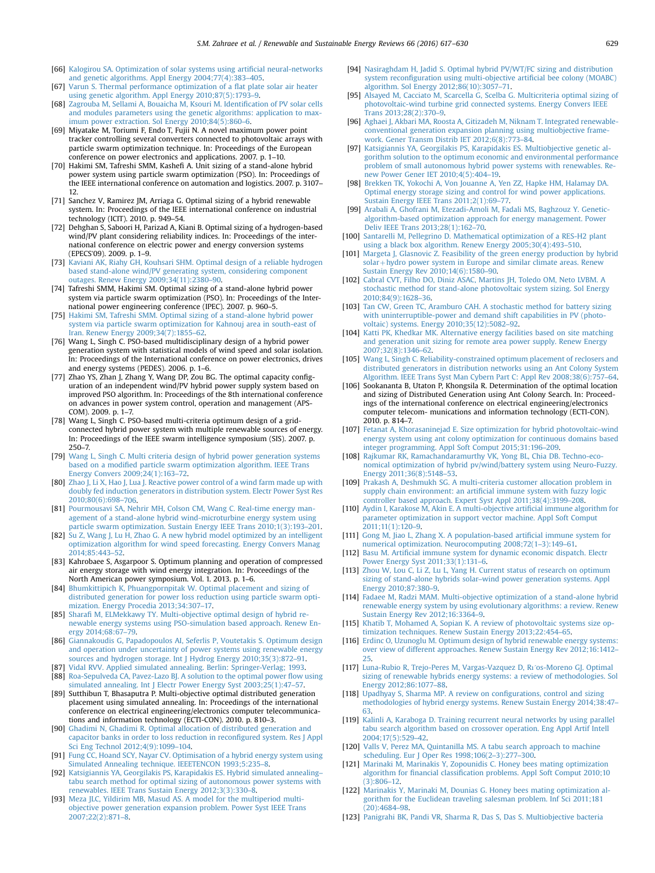- <span id="page-12-0"></span>[66] [Kalogirou SA. Optimization of solar systems using arti](http://refhub.elsevier.com/S1364-0321(16)30460-9/sbref57)ficial neural-networks [and genetic algorithms. Appl Energy 2004;77\(4\):383](http://refhub.elsevier.com/S1364-0321(16)30460-9/sbref57)–405.
- [67] [Varun S. Thermal performance optimization of a](http://refhub.elsevier.com/S1364-0321(16)30460-9/sbref58) flat plate solar air heater [using genetic algorithm. Appl Energy 2010;87\(5\):1793](http://refhub.elsevier.com/S1364-0321(16)30460-9/sbref58)–9.
- [68] [Zagrouba M, Sellami A, Bouaicha M, Ksouri M. Identi](http://refhub.elsevier.com/S1364-0321(16)30460-9/sbref59)fication of PV solar cells [and modules parameters using the genetic algorithms: application to max](http://refhub.elsevier.com/S1364-0321(16)30460-9/sbref59)[imum power extraction. Sol Energy 2010;84\(5\):860](http://refhub.elsevier.com/S1364-0321(16)30460-9/sbref59)–6.
- [69] Miyatake M, Toriumi F, Endo T, Fujii N. A novel maximum power point tracker controlling several converters connected to photovoltaic arrays with particle swarm optimization technique. In: Proceedings of the European conference on power electronics and applications. 2007. p. 1–10.
- [70] Hakimi SM, Tafreshi SMM, Kashefi A. Unit sizing of a stand-alone hybrid power system using particle swarm optimization (PSO). In: Proceedings of the IEEE international conference on automation and logistics. 2007. p. 3107– 12.
- [71] Sanchez V, Ramirez JM, Arriaga G. Optimal sizing of a hybrid renewable system. In: Proceedings of the IEEE international conference on industrial technology (ICIT). 2010. p. 949–54.
- [72] Dehghan S, Saboori H, Parizad A, Kiani B. Optimal sizing of a hydrogen-based wind/PV plant considering reliability indices. In: Proceedings of the international conference on electric power and energy conversion systems (EPECS'09). 2009. p. 1–9.
- [73] [Kaviani AK, Riahy GH, Kouhsari SHM. Optimal design of a reliable hydrogen](http://refhub.elsevier.com/S1364-0321(16)30460-9/sbref60) [based stand-alone wind/PV generating system, considering component](http://refhub.elsevier.com/S1364-0321(16)30460-9/sbref60) [outages. Renew Energy 2009;34\(11\):2380](http://refhub.elsevier.com/S1364-0321(16)30460-9/sbref60)–90.
- [74] Tafreshi SMM, Hakimi SM. Optimal sizing of a stand-alone hybrid power system via particle swarm optimization (PSO). In: Proceedings of the International power engineering conference (IPEC). 2007. p. 960–5.
- [75] [Hakimi SM, Tafreshi SMM. Optimal sizing of a stand-alone hybrid power](http://refhub.elsevier.com/S1364-0321(16)30460-9/sbref61) [system via particle swarm optimization for Kahnouj area in south-east of](http://refhub.elsevier.com/S1364-0321(16)30460-9/sbref61) [Iran. Renew Energy 2009;34\(7\):1855](http://refhub.elsevier.com/S1364-0321(16)30460-9/sbref61)–62.
- [76] Wang L, Singh C. PSO-based multidisciplinary design of a hybrid power generation system with statistical models of wind speed and solar isolation. In: Proceedings of the International conference on power electronics, drives
- and energy systems (PEDES). 2006. p. 1–6. [77] Zhao YS, Zhan J, Zhang Y, Wang DP, Zou BG. The optimal capacity configuration of an independent wind/PV hybrid power supply system based on improved PSO algorithm. In: Proceedings of the 8th international conference on advances in power system control, operation and management (APS-COM). 2009. p. 1–7.
- [78] Wang L, Singh C. PSO-based multi-criteria optimum design of a gridconnected hybrid power system with multiple renewable sources of energy. In: Proceedings of the IEEE swarm intelligence symposium (SIS). 2007. p. 250–7.
- [79] [Wang L, Singh C. Multi criteria design of hybrid power generation systems](http://refhub.elsevier.com/S1364-0321(16)30460-9/sbref62) based on a modifi[ed particle swarm optimization algorithm. IEEE Trans](http://refhub.elsevier.com/S1364-0321(16)30460-9/sbref62) [Energy Convers 2009;24\(1\):163](http://refhub.elsevier.com/S1364-0321(16)30460-9/sbref62)–72.
- [80] [Zhao J, Li X, Hao J, Lua J. Reactive power control of a wind farm made up with](http://refhub.elsevier.com/S1364-0321(16)30460-9/sbref63) [doubly fed induction generators in distribution system. Electr Power Syst Res](http://refhub.elsevier.com/S1364-0321(16)30460-9/sbref63) [2010;80\(6\):698](http://refhub.elsevier.com/S1364-0321(16)30460-9/sbref63)–706.
- [81] [Pourmousavi SA, Nehrir MH, Colson CM, Wang C. Real-time energy man](http://refhub.elsevier.com/S1364-0321(16)30460-9/sbref64)[agement of a stand-alone hybrid wind-microturbine energy system using](http://refhub.elsevier.com/S1364-0321(16)30460-9/sbref64) [particle swarm optimization. Sustain Energy IEEE Trans 2010;1\(3\):193](http://refhub.elsevier.com/S1364-0321(16)30460-9/sbref64)–201.
- [82] [Su Z, Wang J, Lu H, Zhao G. A new hybrid model optimized by an intelligent](http://refhub.elsevier.com/S1364-0321(16)30460-9/sbref65) [optimization algorithm for wind speed forecasting. Energy Convers Manag](http://refhub.elsevier.com/S1364-0321(16)30460-9/sbref65) [2014;85:443](http://refhub.elsevier.com/S1364-0321(16)30460-9/sbref65)–52.
- [83] Kahrobaee S, Asgarpoor S. Optimum planning and operation of compressed air energy storage with wind energy integration. In: Proceedings of the North American power symposium. Vol. 1. 2013. p. 1–6.
- [84] [Bhumkittipich K, Phuangpornpitak W. Optimal placement and sizing of](http://refhub.elsevier.com/S1364-0321(16)30460-9/sbref66) [distributed generation for power loss reduction using particle swarm opti](http://refhub.elsevier.com/S1364-0321(16)30460-9/sbref66)[mization. Energy Procedia 2013;34:307](http://refhub.elsevier.com/S1364-0321(16)30460-9/sbref66)–17.
- [85] Sharafi [M, ELMekkawy TY. Multi-objective optimal design of hybrid re](http://refhub.elsevier.com/S1364-0321(16)30460-9/sbref67)[newable energy systems using PSO-simulation based approach. Renew En](http://refhub.elsevier.com/S1364-0321(16)30460-9/sbref67)[ergy 2014;68:67](http://refhub.elsevier.com/S1364-0321(16)30460-9/sbref67)–79.
- [86] [Giannakoudis G, Papadopoulos AI, Seferlis P, Voutetakis S. Optimum design](http://refhub.elsevier.com/S1364-0321(16)30460-9/sbref68) [and operation under uncertainty of power systems using renewable energy](http://refhub.elsevier.com/S1364-0321(16)30460-9/sbref68) [sources and hydrogen storage. Int J Hydrog Energy 2010;35\(3\):872](http://refhub.elsevier.com/S1364-0321(16)30460-9/sbref68)–91.
- [87] [Vidal RVV. Applied simulated annealing. Berlin: Springer-Verlag; 1993.](http://refhub.elsevier.com/S1364-0321(16)30460-9/sbref69) [88] [Roa-Sepulveda CA, Pavez-Lazo BJ. A solution to the optimal power](http://refhub.elsevier.com/S1364-0321(16)30460-9/sbref70) flow using
- [simulated annealing. Int J Electr Power Energy Syst 2003;25\(1\):47](http://refhub.elsevier.com/S1364-0321(16)30460-9/sbref70)–57.
- [89] Sutthibun T, Bhasaputra P. Multi-objective optimal distributed generation placement using simulated annealing. In: Proceedings of the international conference on electrical engineering/electronics computer telecommunications and information technology (ECTI-CON). 2010. p. 810–3.
- [90] [Ghadimi N, Ghadimi R. Optimal allocation of distributed generation and](http://refhub.elsevier.com/S1364-0321(16)30460-9/sbref71) [capacitor banks in order to loss reduction in recon](http://refhub.elsevier.com/S1364-0321(16)30460-9/sbref71)figured system. Res J Appl [Sci Eng Technol 2012;4\(9\):1099](http://refhub.elsevier.com/S1364-0321(16)30460-9/sbref71)–104.
- [91] [Fung CC, Hoand SCY, Nayar CV. Optimisation of a hybrid energy system using](http://refhub.elsevier.com/S1364-0321(16)30460-9/sbref72) [Simulated Annealing technique. IEEETENCON 1993;5:235](http://refhub.elsevier.com/S1364-0321(16)30460-9/sbref72)–8.
- [92] [Katsigiannis YA, Georgilakis PS, Karapidakis ES. Hybrid simulated annealing](http://refhub.elsevier.com/S1364-0321(16)30460-9/sbref73) [tabu search method for optimal sizing of autonomous power systems with](http://refhub.elsevier.com/S1364-0321(16)30460-9/sbref73) [renewables. IEEE Trans Sustain Energy 2012;3\(3\):330](http://refhub.elsevier.com/S1364-0321(16)30460-9/sbref73)–8.
- [93] [Meza JLC, Yildirim MB, Masud AS. A model for the multiperiod multi](http://refhub.elsevier.com/S1364-0321(16)30460-9/sbref74)[objective power generation expansion problem. Power Syst IEEE Trans](http://refhub.elsevier.com/S1364-0321(16)30460-9/sbref74) [2007;22\(2\):871](http://refhub.elsevier.com/S1364-0321(16)30460-9/sbref74)–8.
- [94] [Nasiraghdam H, Jadid S. Optimal hybrid PV/WT/FC sizing and distribution](http://refhub.elsevier.com/S1364-0321(16)30460-9/sbref75) system reconfi[guration using multi-objective arti](http://refhub.elsevier.com/S1364-0321(16)30460-9/sbref75)ficial bee colony (MOABC) [algorithm. Sol Energy 2012;86\(10\):3057](http://refhub.elsevier.com/S1364-0321(16)30460-9/sbref75)–71.
- [95] [Alsayed M, Cacciato M, Scarcella G, Scelba G. Multicriteria optimal sizing of](http://refhub.elsevier.com/S1364-0321(16)30460-9/sbref76) [photovoltaic-wind turbine grid connected systems. Energy Convers IEEE](http://refhub.elsevier.com/S1364-0321(16)30460-9/sbref76) [Trans 2013;28\(2\):370](http://refhub.elsevier.com/S1364-0321(16)30460-9/sbref76)–9.
- [96] [Aghaei J, Akbari MA, Roosta A, Gitizadeh M, Niknam T. Integrated renewable](http://refhub.elsevier.com/S1364-0321(16)30460-9/sbref77)[conventional generation expansion planning using multiobjective frame](http://refhub.elsevier.com/S1364-0321(16)30460-9/sbref77)[work. Gener Transm Distrib IET 2012;6\(8\):773](http://refhub.elsevier.com/S1364-0321(16)30460-9/sbref77)–84.
- [97] [Katsigiannis YA, Georgilakis PS, Karapidakis ES. Multiobjective genetic al](http://refhub.elsevier.com/S1364-0321(16)30460-9/sbref78)[gorithm solution to the optimum economic and environmental performance](http://refhub.elsevier.com/S1364-0321(16)30460-9/sbref78) [problem of small autonomous hybrid power systems with renewables. Re](http://refhub.elsevier.com/S1364-0321(16)30460-9/sbref78)[new Power Gener IET 2010;4\(5\):404](http://refhub.elsevier.com/S1364-0321(16)30460-9/sbref78)–19.
- [98] [Brekken TK, Yokochi A, Von Jouanne A, Yen ZZ, Hapke HM, Halamay DA.](http://refhub.elsevier.com/S1364-0321(16)30460-9/sbref79) [Optimal energy storage sizing and control for wind power applications.](http://refhub.elsevier.com/S1364-0321(16)30460-9/sbref79) [Sustain Energy IEEE Trans 2011;2\(1\):69](http://refhub.elsevier.com/S1364-0321(16)30460-9/sbref79)–77.
- [99] [Arabali A, Ghofrani M, Etezadi-Amoli M, Fadali MS, Baghzouz Y. Genetic](http://refhub.elsevier.com/S1364-0321(16)30460-9/sbref80)[algorithm-based optimization approach for energy management. Power](http://refhub.elsevier.com/S1364-0321(16)30460-9/sbref80) [Deliv IEEE Trans 2013;28\(1\):162](http://refhub.elsevier.com/S1364-0321(16)30460-9/sbref80)–70.
- [100] [Santarelli M, Pellegrino D. Mathematical optimization of a RES-H2 plant](http://refhub.elsevier.com/S1364-0321(16)30460-9/sbref81) [using a black box algorithm. Renew Energy 2005;30\(4\):493](http://refhub.elsevier.com/S1364-0321(16)30460-9/sbref81)–510.
- [101] Margeta J, Glasnovic Z, Feasibility of the green energy production by hybrid [solar](http://refhub.elsevier.com/S1364-0321(16)30460-9/sbref82) + [hydro power system in Europe and similar climate areas. Renew](http://refhub.elsevier.com/S1364-0321(16)30460-9/sbref82) [Sustain Energy Rev 2010;14\(6\):1580](http://refhub.elsevier.com/S1364-0321(16)30460-9/sbref82)–90.
- [102] [Cabral CVT, Filho DO, Diniz ASAC, Martins JH, Toledo OM, Neto LVBM. A](http://refhub.elsevier.com/S1364-0321(16)30460-9/sbref83) [stochastic method for stand-alone photovoltaic system sizing. Sol Energy](http://refhub.elsevier.com/S1364-0321(16)30460-9/sbref83) [2010;84\(9\):1628](http://refhub.elsevier.com/S1364-0321(16)30460-9/sbref83)–36.
- [103] [Tan CW, Green TC, Aramburo CAH. A stochastic method for battery sizing](http://refhub.elsevier.com/S1364-0321(16)30460-9/sbref84) [with uninterruptible-power and demand shift capabilities in PV \(photo](http://refhub.elsevier.com/S1364-0321(16)30460-9/sbref84)[voltaic\) systems. Energy 2010;35\(12\):5082](http://refhub.elsevier.com/S1364-0321(16)30460-9/sbref84)–92.
- [104] [Katti PK, Khedkar MK. Alternative energy facilities based on site matching](http://refhub.elsevier.com/S1364-0321(16)30460-9/sbref85) [and generation unit sizing for remote area power supply. Renew Energy](http://refhub.elsevier.com/S1364-0321(16)30460-9/sbref85) [2007;32\(8\):1346](http://refhub.elsevier.com/S1364-0321(16)30460-9/sbref85)–62.
- [105] [Wang L, Singh C. Reliability-constrained optimum placement of reclosers and](http://refhub.elsevier.com/S1364-0321(16)30460-9/sbref86) [distributed generators in distribution networks using an Ant Colony System](http://refhub.elsevier.com/S1364-0321(16)30460-9/sbref86) [Algorithm. IEEE Trans Syst Man Cybern Part C: Appl Rev 2008;38\(6\):757](http://refhub.elsevier.com/S1364-0321(16)30460-9/sbref86)–64.
- [106] Sookananta B, Utaton P, Khongsila R. Determination of the optimal location and sizing of Distributed Generation using Ant Colony Search. In: Proceedings of the international conference on electrical engineering/electronics computer telecom- munications and information technology (ECTI-CON). 2010. p. 814–7.
- [107] [Fetanat A, Khorasaninejad E. Size optimization for hybrid photovoltaic](http://refhub.elsevier.com/S1364-0321(16)30460-9/sbref87)–wind [energy system using ant colony optimization for continuous domains based](http://refhub.elsevier.com/S1364-0321(16)30460-9/sbref87) [integer programming. Appl Soft Comput 2015;31:196](http://refhub.elsevier.com/S1364-0321(16)30460-9/sbref87)–209.
- [108] [Rajkumar RK, Ramachandaramurthy VK, Yong BL, Chia DB. Techno-eco](http://refhub.elsevier.com/S1364-0321(16)30460-9/sbref88)[nomical optimization of hybrid pv/wind/battery system using Neuro-Fuzzy.](http://refhub.elsevier.com/S1364-0321(16)30460-9/sbref88) [Energy 2011;36\(8\):5148](http://refhub.elsevier.com/S1364-0321(16)30460-9/sbref88)–53.
- [109] [Prakash A, Deshmukh SG. A multi-criteria customer allocation problem in](http://refhub.elsevier.com/S1364-0321(16)30460-9/sbref89) supply chain environment: an artifi[cial immune system with fuzzy logic](http://refhub.elsevier.com/S1364-0321(16)30460-9/sbref89) [controller based approach. Expert Syst Appl 2011;38\(4\):3199](http://refhub.elsevier.com/S1364-0321(16)30460-9/sbref89)–208.
- [110] [Aydin I, Karakose M, Akin E. A multi-objective arti](http://refhub.elsevier.com/S1364-0321(16)30460-9/sbref90)ficial immune algorithm for [parameter optimization in support vector machine. Appl Soft Comput](http://refhub.elsevier.com/S1364-0321(16)30460-9/sbref90) [2011;11\(1\):120](http://refhub.elsevier.com/S1364-0321(16)30460-9/sbref90)–9.
- [111] [Gong M, Jiao L, Zhang X. A population-based arti](http://refhub.elsevier.com/S1364-0321(16)30460-9/sbref91)ficial immune system for [numerical optimization. Neurocomputing 2008;72\(1](http://refhub.elsevier.com/S1364-0321(16)30460-9/sbref91)–3):149–61.
- [112] Basu M. Artifi[cial immune system for dynamic economic dispatch. Electr](http://refhub.elsevier.com/S1364-0321(16)30460-9/sbref92) [Power Energy Syst 2011;33\(1\):131](http://refhub.elsevier.com/S1364-0321(16)30460-9/sbref92)–6.
- [113] [Zhou W, Lou C, Li Z, Lu L, Yang H. Current status of research on optimum](http://refhub.elsevier.com/S1364-0321(16)30460-9/sbref93) sizing of stand-alone hybrids solar–[wind power generation systems. Appl](http://refhub.elsevier.com/S1364-0321(16)30460-9/sbref93) [Energy 2010;87:380](http://refhub.elsevier.com/S1364-0321(16)30460-9/sbref93)–9.
- [114] [Fadaee M, Radzi MAM. Multi-objective optimization of a stand-alone hybrid](http://refhub.elsevier.com/S1364-0321(16)30460-9/sbref94) [renewable energy system by using evolutionary algorithms: a review. Renew](http://refhub.elsevier.com/S1364-0321(16)30460-9/sbref94) [Sustain Energy Rev 2012;16:3364](http://refhub.elsevier.com/S1364-0321(16)30460-9/sbref94)–9.
- [115] [Khatib T, Mohamed A, Sopian K. A review of photovoltaic systems size op](http://refhub.elsevier.com/S1364-0321(16)30460-9/sbref95)[timization techniques. Renew Sustain Energy 2013;22:454](http://refhub.elsevier.com/S1364-0321(16)30460-9/sbref95)–65.
- [116] [Erdinc O, Uzunoglu M. Optimum design of hybrid renewable energy systems:](http://refhub.elsevier.com/S1364-0321(16)30460-9/sbref96) [over view of different approaches. Renew Sustain Energy Rev 2012;16:1412](http://refhub.elsevier.com/S1364-0321(16)30460-9/sbref96)– [25.](http://refhub.elsevier.com/S1364-0321(16)30460-9/sbref96)
- [117] [Luna-Rubio R, Trejo-Peres M, Vargas-Vazquez D, R](http://refhub.elsevier.com/S1364-0321(16)30460-9/sbref97)ı´os-Moreno GJ. Optimal [sizing of renewable hybrids energy systems: a review of methodologies. Sol](http://refhub.elsevier.com/S1364-0321(16)30460-9/sbref97) [Energy 2012;86:1077](http://refhub.elsevier.com/S1364-0321(16)30460-9/sbref97)–88.
- [118] [Upadhyay S, Sharma MP. A review on con](http://refhub.elsevier.com/S1364-0321(16)30460-9/sbref98)figurations, control and sizing [methodologies of hybrid energy systems. Renew Sustain Energy 2014;38:47](http://refhub.elsevier.com/S1364-0321(16)30460-9/sbref98)– [63.](http://refhub.elsevier.com/S1364-0321(16)30460-9/sbref98)
- [119] [Kalinli A, Karaboga D. Training recurrent neural networks by using parallel](http://refhub.elsevier.com/S1364-0321(16)30460-9/sbref99) [tabu search algorithm based on crossover operation. Eng Appl Artif Intell](http://refhub.elsevier.com/S1364-0321(16)30460-9/sbref99) [2004;17\(5\):529](http://refhub.elsevier.com/S1364-0321(16)30460-9/sbref99)–42.
- [120] [Valls V, Perez MA, Quintanilla MS. A tabu search approach to machine](http://refhub.elsevier.com/S1364-0321(16)30460-9/sbref100) [scheduling. Eur J Oper Res 1998;106\(2](http://refhub.elsevier.com/S1364-0321(16)30460-9/sbref100)–3):277–300.
- [121] [Marinaki M, Marinakis Y, Zopounidis C. Honey bees mating optimization](http://refhub.elsevier.com/S1364-0321(16)30460-9/sbref101) algorithm for financial classifi[cation problems. Appl Soft Comput 2010;10](http://refhub.elsevier.com/S1364-0321(16)30460-9/sbref101) [\(3\):806](http://refhub.elsevier.com/S1364-0321(16)30460-9/sbref101)–12.
- [122] [Marinakis Y, Marinaki M, Dounias G. Honey bees mating optimization al](http://refhub.elsevier.com/S1364-0321(16)30460-9/sbref102)[gorithm for the Euclidean traveling salesman problem. Inf Sci 2011;181](http://refhub.elsevier.com/S1364-0321(16)30460-9/sbref102) [\(20\):4684](http://refhub.elsevier.com/S1364-0321(16)30460-9/sbref102)–98.
- [123] [Panigrahi BK, Pandi VR, Sharma R, Das S, Das S. Multiobjective bacteria](http://refhub.elsevier.com/S1364-0321(16)30460-9/sbref103)